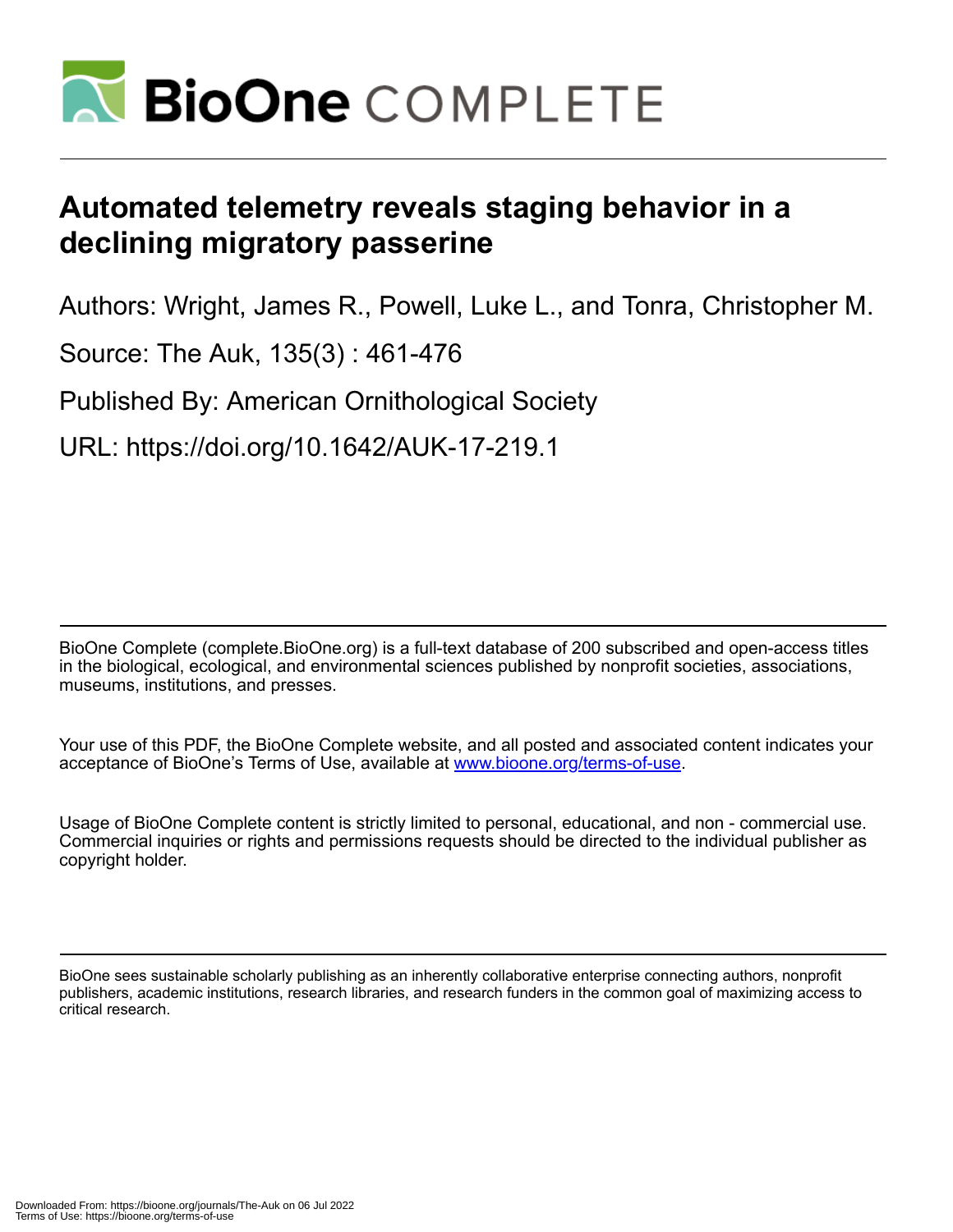

# **Automated telemetry reveals staging behavior in a declining migratory passerine**

Authors: Wright, James R., Powell, Luke L., and Tonra, Christopher M.

Source: The Auk, 135(3) : 461-476

Published By: American Ornithological Society

URL: https://doi.org/10.1642/AUK-17-219.1

BioOne Complete (complete.BioOne.org) is a full-text database of 200 subscribed and open-access titles in the biological, ecological, and environmental sciences published by nonprofit societies, associations, museums, institutions, and presses.

Your use of this PDF, the BioOne Complete website, and all posted and associated content indicates your acceptance of BioOne's Terms of Use, available at www.bioone.org/terms-of-use.

Usage of BioOne Complete content is strictly limited to personal, educational, and non - commercial use. Commercial inquiries or rights and permissions requests should be directed to the individual publisher as copyright holder.

BioOne sees sustainable scholarly publishing as an inherently collaborative enterprise connecting authors, nonprofit publishers, academic institutions, research libraries, and research funders in the common goal of maximizing access to critical research.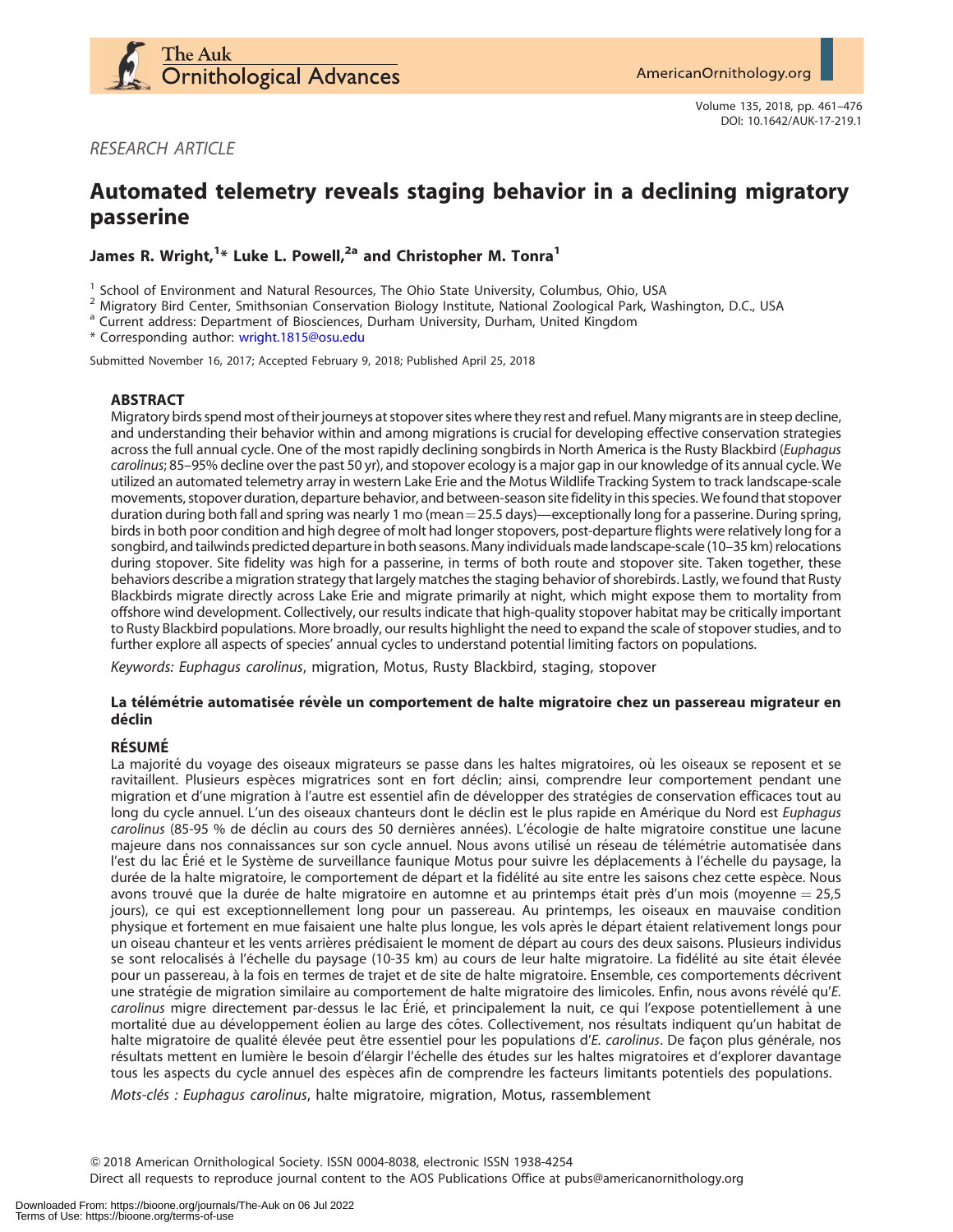

# RESEARCH ARTICLE

# Automated telemetry reveals staging behavior in a declining migratory passerine

James R. Wright,<sup>1</sup>\* Luke L. Powell,<sup>2a</sup> and Christopher M. Tonra<sup>1</sup>

<sup>1</sup> School of Environment and Natural Resources, The Ohio State University, Columbus, Ohio, USA<br><sup>2</sup> Migratory Bird Center, Smithsonian Conservation Biology Institute, National Zoological Park, Washington, D.C., USA<br><sup>a</sup> Cu

\* Corresponding author: [wright.1815@osu.edu](mailto:wright.1815@osu.edu)

Submitted November 16, 2017; Accepted February 9, 2018; Published April 25, 2018

### **ABSTRACT**

Migratory birds spend most of their journeys at stopover sites where they rest and refuel. Many migrants are in steep decline, and understanding their behavior within and among migrations is crucial for developing effective conservation strategies across the full annual cycle. One of the most rapidly declining songbirds in North America is the Rusty Blackbird (Euphagus carolinus; 85–95% decline over the past 50 yr), and stopover ecology is a major gap in our knowledge of its annual cycle. We utilized an automated telemetry array in western Lake Erie and the Motus Wildlife Tracking System to track landscape-scale movements, stopover duration, departure behavior, and between-season site fidelity in this species. We found that stopover duration during both fall and spring was nearly 1 mo (mean = 25.5 days)—exceptionally long for a passerine. During spring, birds in both poor condition and high degree of molt had longer stopovers, post-departure flights were relatively long for a songbird, and tailwinds predicted departure in both seasons. Many individuals made landscape-scale (10–35 km) relocations during stopover. Site fidelity was high for a passerine, in terms of both route and stopover site. Taken together, these behaviors describe a migration strategy that largely matches the staging behavior of shorebirds. Lastly, we found that Rusty Blackbirds migrate directly across Lake Erie and migrate primarily at night, which might expose them to mortality from offshore wind development. Collectively, our results indicate that high-quality stopover habitat may be critically important to Rusty Blackbird populations. More broadly, our results highlight the need to expand the scale of stopover studies, and to further explore all aspects of species' annual cycles to understand potential limiting factors on populations.

Keywords: Euphagus carolinus, migration, Motus, Rusty Blackbird, staging, stopover

#### La télémétrie automatisée révèle un comportement de halte migratoire chez un passereau migrateur en déclin

### **RÉSUMÉ**

La majorité du voyage des oiseaux migrateurs se passe dans les haltes migratoires, où les oiseaux se reposent et se ravitaillent. Plusieurs espèces migratrices sont en fort déclin; ainsi, comprendre leur comportement pendant une migration et d'une migration à l'autre est essentiel afin de développer des stratégies de conservation efficaces tout au long du cycle annuel. L'un des oiseaux chanteurs dont le déclin est le plus rapide en Amérique du Nord est Euphagus carolinus (85-95 % de déclin au cours des 50 dernières années). L'écologie de halte migratoire constitue une lacune majeure dans nos connaissances sur son cycle annuel. Nous avons utilisé un réseau de télémétrie automatisée dans l'est du lac Érié et le Système de surveillance faunique Motus pour suivre les déplacements à l'échelle du paysage, la durée de la halte migratoire, le comportement de départ et la fidélité au site entre les saisons chez cette espèce. Nous avons trouvé que la durée de halte migratoire en automne et au printemps était près d'un mois (moyenne  $= 25.5$ jours), ce qui est exceptionnellement long pour un passereau. Au printemps, les oiseaux en mauvaise condition physique et fortement en mue faisaient une halte plus longue, les vols après le départ étaient relativement longs pour un oiseau chanteur et les vents arrières prédisaient le moment de départ au cours des deux saisons. Plusieurs individus se sont relocalisés à l'échelle du paysage (10-35 km) au cours de leur halte migratoire. La fidélité au site était élevée pour un passereau, à la fois en termes de trajet et de site de halte migratoire. Ensemble, ces comportements décrivent une stratégie de migration similaire au comportement de halte migratoire des limicoles. Enfin, nous avons révélé qu'E. carolinus migre directement par-dessus le lac Érié, et principalement la nuit, ce qui l'expose potentiellement à une mortalité due au développement éolien au large des côtes. Collectivement, nos résultats indiquent qu'un habitat de halte migratoire de qualité élevée peut être essentiel pour les populations d'E. carolinus. De façon plus générale, nos résultats mettent en lumière le besoin d'élargir l'échelle des études sur les haltes migratoires et d'explorer davantage tous les aspects du cycle annuel des espèces afin de comprendre les facteurs limitants potentiels des populations.

Mots-clés : Euphagus carolinus, halte migratoire, migration, Motus, rassemblement

Q 2018 American Ornithological Society. ISSN 0004-8038, electronic ISSN 1938-4254

Direct all requests to reproduce journal content to the AOS Publications Office at pubs@americanornithology.org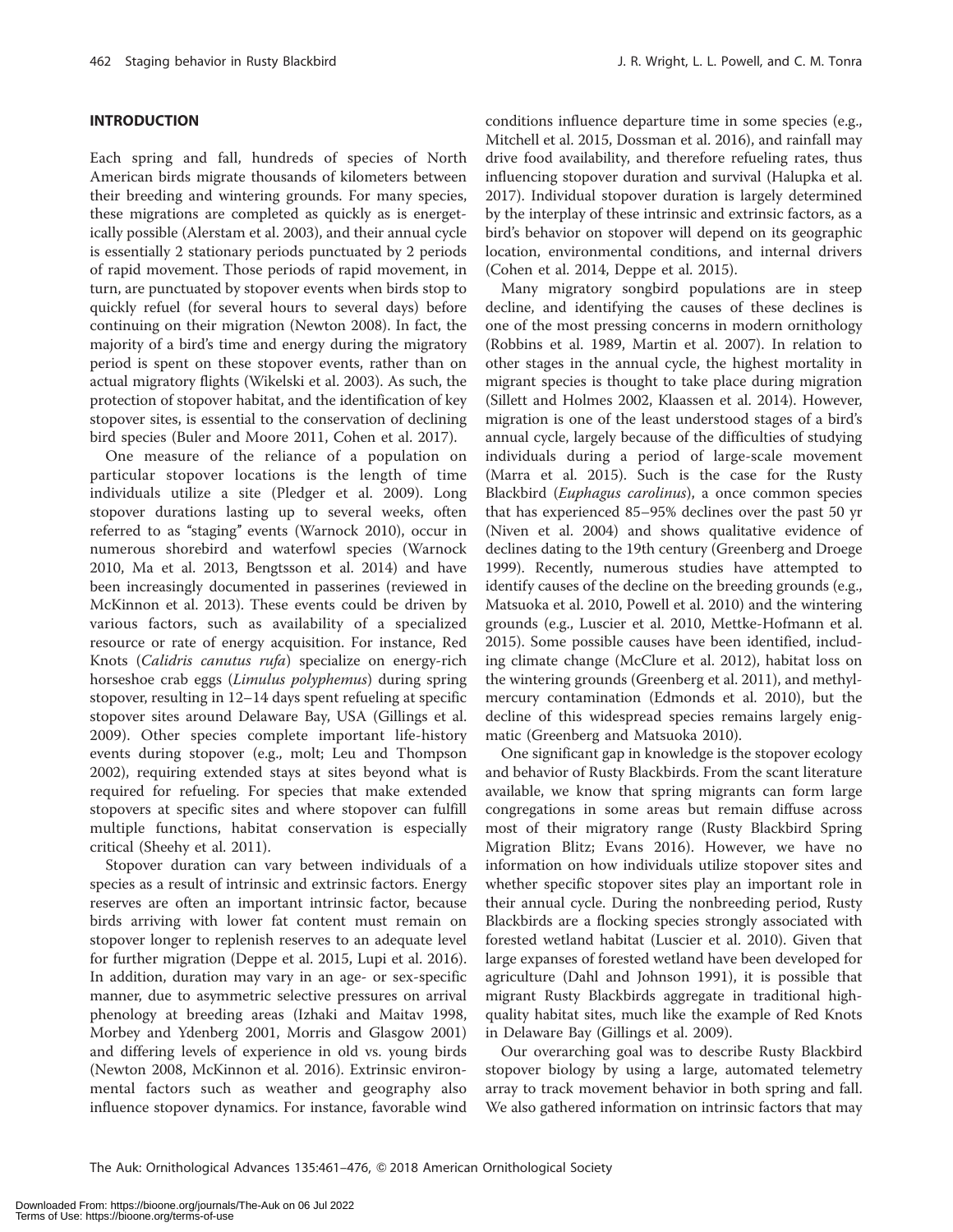# INTRODUCTION

Each spring and fall, hundreds of species of North American birds migrate thousands of kilometers between their breeding and wintering grounds. For many species, these migrations are completed as quickly as is energetically possible (Alerstam et al. 2003), and their annual cycle is essentially 2 stationary periods punctuated by 2 periods of rapid movement. Those periods of rapid movement, in turn, are punctuated by stopover events when birds stop to quickly refuel (for several hours to several days) before continuing on their migration (Newton 2008). In fact, the majority of a bird's time and energy during the migratory period is spent on these stopover events, rather than on actual migratory flights (Wikelski et al. 2003). As such, the protection of stopover habitat, and the identification of key stopover sites, is essential to the conservation of declining bird species (Buler and Moore 2011, Cohen et al. 2017).

One measure of the reliance of a population on particular stopover locations is the length of time individuals utilize a site (Pledger et al. 2009). Long stopover durations lasting up to several weeks, often referred to as "staging" events (Warnock 2010), occur in numerous shorebird and waterfowl species (Warnock 2010, Ma et al. 2013, Bengtsson et al. 2014) and have been increasingly documented in passerines (reviewed in McKinnon et al. 2013). These events could be driven by various factors, such as availability of a specialized resource or rate of energy acquisition. For instance, Red Knots (Calidris canutus rufa) specialize on energy-rich horseshoe crab eggs (Limulus polyphemus) during spring stopover, resulting in 12–14 days spent refueling at specific stopover sites around Delaware Bay, USA (Gillings et al. 2009). Other species complete important life-history events during stopover (e.g., molt; Leu and Thompson 2002), requiring extended stays at sites beyond what is required for refueling. For species that make extended stopovers at specific sites and where stopover can fulfill multiple functions, habitat conservation is especially critical (Sheehy et al. 2011).

Stopover duration can vary between individuals of a species as a result of intrinsic and extrinsic factors. Energy reserves are often an important intrinsic factor, because birds arriving with lower fat content must remain on stopover longer to replenish reserves to an adequate level for further migration (Deppe et al. 2015, Lupi et al. 2016). In addition, duration may vary in an age- or sex-specific manner, due to asymmetric selective pressures on arrival phenology at breeding areas (Izhaki and Maitav 1998, Morbey and Ydenberg 2001, Morris and Glasgow 2001) and differing levels of experience in old vs. young birds (Newton 2008, McKinnon et al. 2016). Extrinsic environmental factors such as weather and geography also influence stopover dynamics. For instance, favorable wind

conditions influence departure time in some species (e.g., Mitchell et al. 2015, Dossman et al. 2016), and rainfall may drive food availability, and therefore refueling rates, thus influencing stopover duration and survival (Halupka et al. 2017). Individual stopover duration is largely determined by the interplay of these intrinsic and extrinsic factors, as a bird's behavior on stopover will depend on its geographic location, environmental conditions, and internal drivers (Cohen et al. 2014, Deppe et al. 2015).

Many migratory songbird populations are in steep decline, and identifying the causes of these declines is one of the most pressing concerns in modern ornithology (Robbins et al. 1989, Martin et al. 2007). In relation to other stages in the annual cycle, the highest mortality in migrant species is thought to take place during migration (Sillett and Holmes 2002, Klaassen et al. 2014). However, migration is one of the least understood stages of a bird's annual cycle, largely because of the difficulties of studying individuals during a period of large-scale movement (Marra et al. 2015). Such is the case for the Rusty Blackbird (Euphagus carolinus), a once common species that has experienced 85–95% declines over the past 50 yr (Niven et al. 2004) and shows qualitative evidence of declines dating to the 19th century (Greenberg and Droege 1999). Recently, numerous studies have attempted to identify causes of the decline on the breeding grounds (e.g., Matsuoka et al. 2010, Powell et al. 2010) and the wintering grounds (e.g., Luscier et al. 2010, Mettke-Hofmann et al. 2015). Some possible causes have been identified, including climate change (McClure et al. 2012), habitat loss on the wintering grounds (Greenberg et al. 2011), and methylmercury contamination (Edmonds et al. 2010), but the decline of this widespread species remains largely enigmatic (Greenberg and Matsuoka 2010).

One significant gap in knowledge is the stopover ecology and behavior of Rusty Blackbirds. From the scant literature available, we know that spring migrants can form large congregations in some areas but remain diffuse across most of their migratory range (Rusty Blackbird Spring Migration Blitz; Evans 2016). However, we have no information on how individuals utilize stopover sites and whether specific stopover sites play an important role in their annual cycle. During the nonbreeding period, Rusty Blackbirds are a flocking species strongly associated with forested wetland habitat (Luscier et al. 2010). Given that large expanses of forested wetland have been developed for agriculture (Dahl and Johnson 1991), it is possible that migrant Rusty Blackbirds aggregate in traditional highquality habitat sites, much like the example of Red Knots in Delaware Bay (Gillings et al. 2009).

Our overarching goal was to describe Rusty Blackbird stopover biology by using a large, automated telemetry array to track movement behavior in both spring and fall. We also gathered information on intrinsic factors that may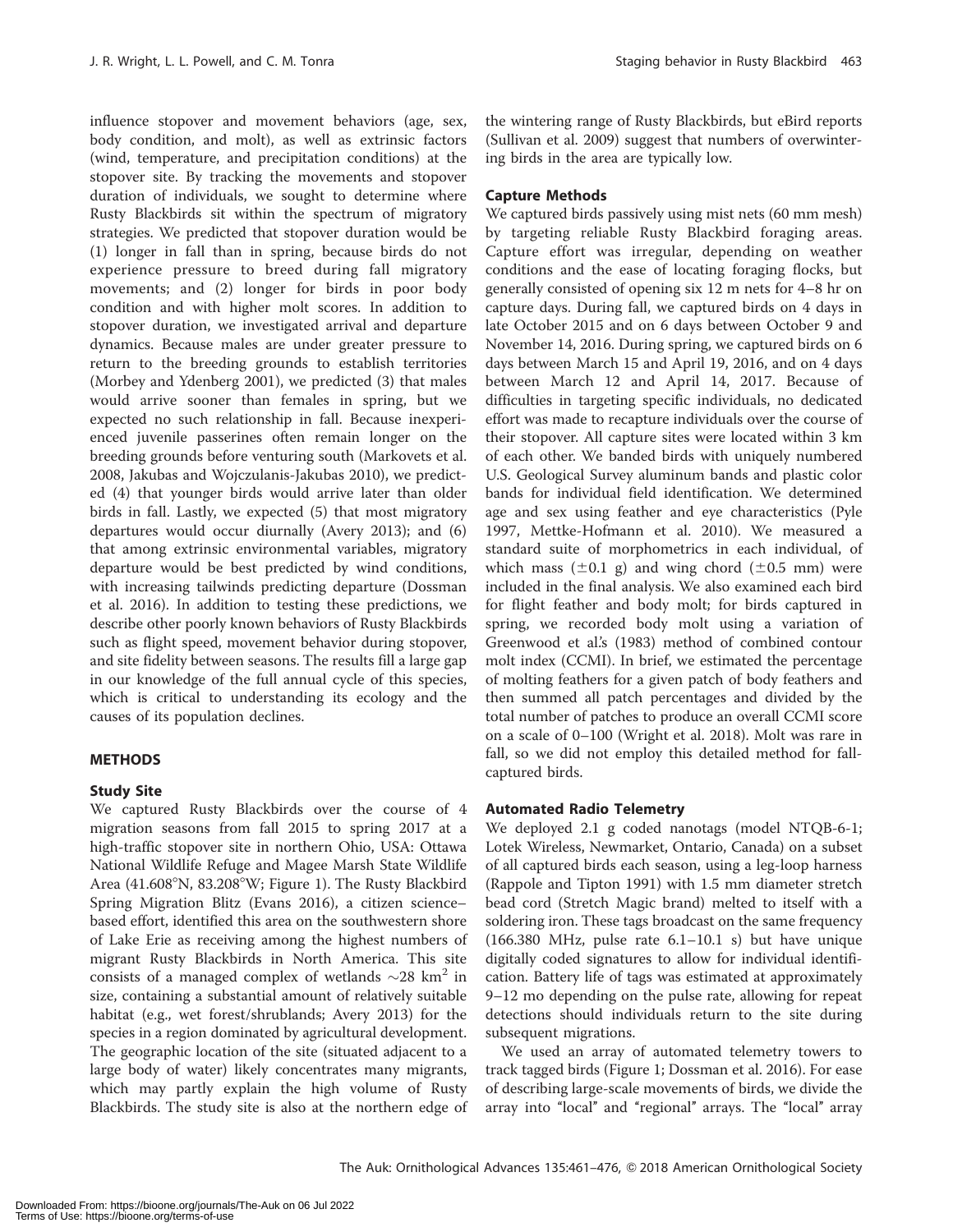influence stopover and movement behaviors (age, sex, body condition, and molt), as well as extrinsic factors (wind, temperature, and precipitation conditions) at the stopover site. By tracking the movements and stopover duration of individuals, we sought to determine where Rusty Blackbirds sit within the spectrum of migratory strategies. We predicted that stopover duration would be (1) longer in fall than in spring, because birds do not experience pressure to breed during fall migratory movements; and (2) longer for birds in poor body condition and with higher molt scores. In addition to stopover duration, we investigated arrival and departure dynamics. Because males are under greater pressure to return to the breeding grounds to establish territories (Morbey and Ydenberg 2001), we predicted (3) that males would arrive sooner than females in spring, but we expected no such relationship in fall. Because inexperienced juvenile passerines often remain longer on the breeding grounds before venturing south (Markovets et al. 2008, Jakubas and Wojczulanis-Jakubas 2010), we predicted (4) that younger birds would arrive later than older birds in fall. Lastly, we expected (5) that most migratory departures would occur diurnally (Avery 2013); and (6) that among extrinsic environmental variables, migratory departure would be best predicted by wind conditions, with increasing tailwinds predicting departure (Dossman et al. 2016). In addition to testing these predictions, we describe other poorly known behaviors of Rusty Blackbirds such as flight speed, movement behavior during stopover, and site fidelity between seasons. The results fill a large gap in our knowledge of the full annual cycle of this species, which is critical to understanding its ecology and the causes of its population declines.

### METHODS

### Study Site

We captured Rusty Blackbirds over the course of 4 migration seasons from fall 2015 to spring 2017 at a high-traffic stopover site in northern Ohio, USA: Ottawa National Wildlife Refuge and Magee Marsh State Wildlife Area (41.608°N, 83.208°W; Figure 1). The Rusty Blackbird Spring Migration Blitz (Evans 2016), a citizen science– based effort, identified this area on the southwestern shore of Lake Erie as receiving among the highest numbers of migrant Rusty Blackbirds in North America. This site consists of a managed complex of wetlands  $\sim$ 28 km<sup>2</sup> in size, containing a substantial amount of relatively suitable habitat (e.g., wet forest/shrublands; Avery 2013) for the species in a region dominated by agricultural development. The geographic location of the site (situated adjacent to a large body of water) likely concentrates many migrants, which may partly explain the high volume of Rusty Blackbirds. The study site is also at the northern edge of the wintering range of Rusty Blackbirds, but eBird reports (Sullivan et al. 2009) suggest that numbers of overwintering birds in the area are typically low.

# Capture Methods

We captured birds passively using mist nets (60 mm mesh) by targeting reliable Rusty Blackbird foraging areas. Capture effort was irregular, depending on weather conditions and the ease of locating foraging flocks, but generally consisted of opening six 12 m nets for 4–8 hr on capture days. During fall, we captured birds on 4 days in late October 2015 and on 6 days between October 9 and November 14, 2016. During spring, we captured birds on 6 days between March 15 and April 19, 2016, and on 4 days between March 12 and April 14, 2017. Because of difficulties in targeting specific individuals, no dedicated effort was made to recapture individuals over the course of their stopover. All capture sites were located within 3 km of each other. We banded birds with uniquely numbered U.S. Geological Survey aluminum bands and plastic color bands for individual field identification. We determined age and sex using feather and eye characteristics (Pyle 1997, Mettke-Hofmann et al. 2010). We measured a standard suite of morphometrics in each individual, of which mass  $(\pm 0.1 \text{ g})$  and wing chord  $(\pm 0.5 \text{ mm})$  were included in the final analysis. We also examined each bird for flight feather and body molt; for birds captured in spring, we recorded body molt using a variation of Greenwood et al.'s (1983) method of combined contour molt index (CCMI). In brief, we estimated the percentage of molting feathers for a given patch of body feathers and then summed all patch percentages and divided by the total number of patches to produce an overall CCMI score on a scale of 0–100 (Wright et al. 2018). Molt was rare in fall, so we did not employ this detailed method for fallcaptured birds.

### Automated Radio Telemetry

We deployed 2.1 g coded nanotags (model NTQB-6-1; Lotek Wireless, Newmarket, Ontario, Canada) on a subset of all captured birds each season, using a leg-loop harness (Rappole and Tipton 1991) with 1.5 mm diameter stretch bead cord (Stretch Magic brand) melted to itself with a soldering iron. These tags broadcast on the same frequency (166.380 MHz, pulse rate 6.1–10.1 s) but have unique digitally coded signatures to allow for individual identification. Battery life of tags was estimated at approximately 9–12 mo depending on the pulse rate, allowing for repeat detections should individuals return to the site during subsequent migrations.

We used an array of automated telemetry towers to track tagged birds (Figure 1; Dossman et al. 2016). For ease of describing large-scale movements of birds, we divide the array into "local" and "regional" arrays. The "local" array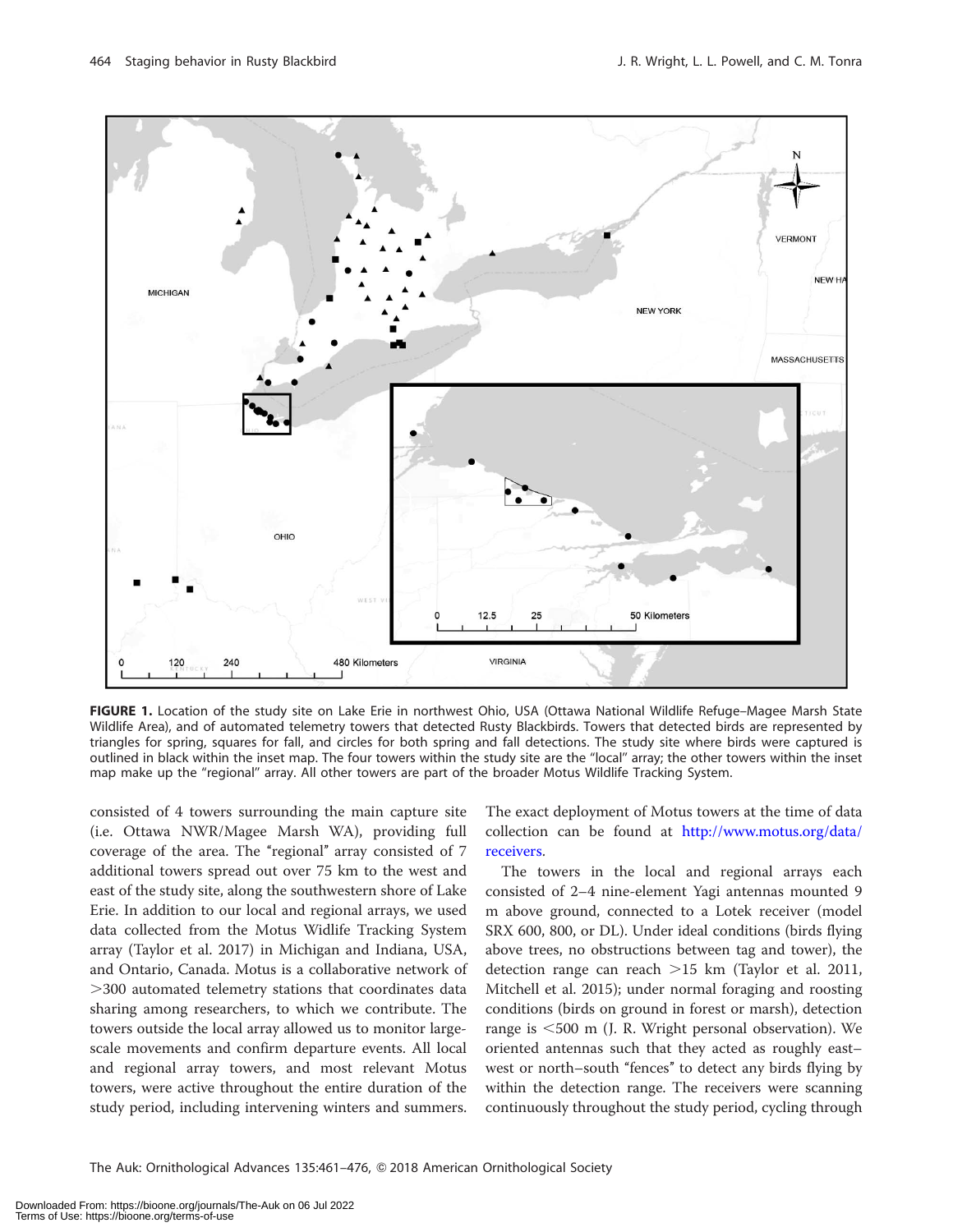

FIGURE 1. Location of the study site on Lake Erie in northwest Ohio, USA (Ottawa National Wildlife Refuge–Magee Marsh State Wildlife Area), and of automated telemetry towers that detected Rusty Blackbirds. Towers that detected birds are represented by triangles for spring, squares for fall, and circles for both spring and fall detections. The study site where birds were captured is outlined in black within the inset map. The four towers within the study site are the ''local'' array; the other towers within the inset map make up the ''regional'' array. All other towers are part of the broader Motus Wildlife Tracking System.

consisted of 4 towers surrounding the main capture site (i.e. Ottawa NWR/Magee Marsh WA), providing full coverage of the area. The "regional" array consisted of 7 additional towers spread out over 75 km to the west and east of the study site, along the southwestern shore of Lake Erie. In addition to our local and regional arrays, we used data collected from the Motus Widlife Tracking System array (Taylor et al. 2017) in Michigan and Indiana, USA, and Ontario, Canada. Motus is a collaborative network of .300 automated telemetry stations that coordinates data sharing among researchers, to which we contribute. The towers outside the local array allowed us to monitor largescale movements and confirm departure events. All local and regional array towers, and most relevant Motus towers, were active throughout the entire duration of the study period, including intervening winters and summers.

The exact deployment of Motus towers at the time of data collection can be found at [http://www.motus.org/data/](http://www.motus.org/data/receivers) [receivers](http://www.motus.org/data/receivers).

The towers in the local and regional arrays each consisted of 2–4 nine-element Yagi antennas mounted 9 m above ground, connected to a Lotek receiver (model SRX 600, 800, or DL). Under ideal conditions (birds flying above trees, no obstructions between tag and tower), the detection range can reach  $>15$  km (Taylor et al. 2011, Mitchell et al. 2015); under normal foraging and roosting conditions (birds on ground in forest or marsh), detection range is  $\leq 500$  m (J. R. Wright personal observation). We oriented antennas such that they acted as roughly east– west or north–south "fences" to detect any birds flying by within the detection range. The receivers were scanning continuously throughout the study period, cycling through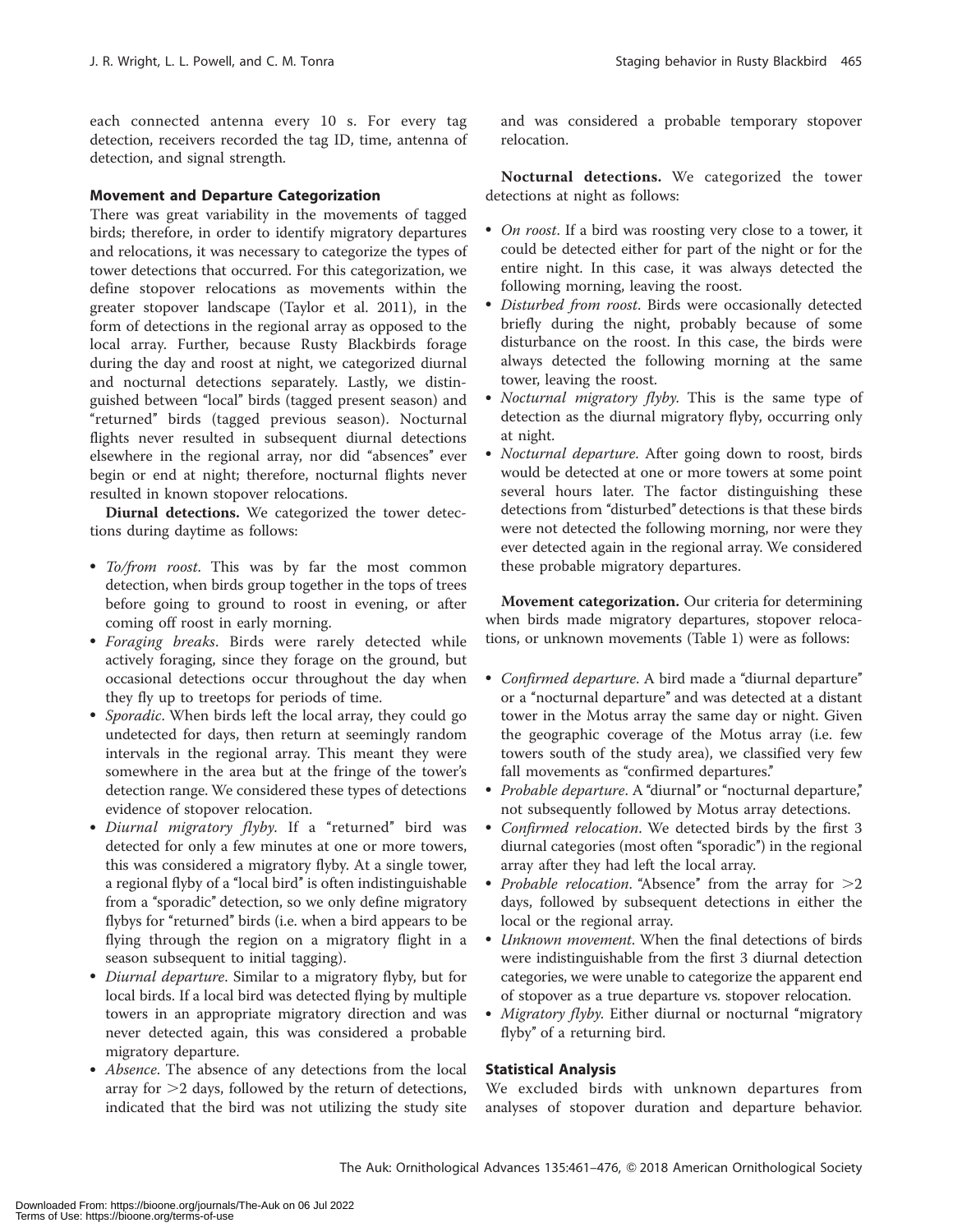each connected antenna every 10 s. For every tag detection, receivers recorded the tag ID, time, antenna of detection, and signal strength.

#### Movement and Departure Categorization

There was great variability in the movements of tagged birds; therefore, in order to identify migratory departures and relocations, it was necessary to categorize the types of tower detections that occurred. For this categorization, we define stopover relocations as movements within the greater stopover landscape (Taylor et al. 2011), in the form of detections in the regional array as opposed to the local array. Further, because Rusty Blackbirds forage during the day and roost at night, we categorized diurnal and nocturnal detections separately. Lastly, we distinguished between "local" birds (tagged present season) and "returned" birds (tagged previous season). Nocturnal flights never resulted in subsequent diurnal detections elsewhere in the regional array, nor did ''absences'' ever begin or end at night; therefore, nocturnal flights never resulted in known stopover relocations.

Diurnal detections. We categorized the tower detections during daytime as follows:

- To/from roost. This was by far the most common detection, when birds group together in the tops of trees before going to ground to roost in evening, or after coming off roost in early morning.
- Foraging breaks. Birds were rarely detected while actively foraging, since they forage on the ground, but occasional detections occur throughout the day when they fly up to treetops for periods of time.
- Sporadic. When birds left the local array, they could go undetected for days, then return at seemingly random intervals in the regional array. This meant they were somewhere in the area but at the fringe of the tower's detection range. We considered these types of detections evidence of stopover relocation.
- Diurnal migratory flyby. If a "returned" bird was detected for only a few minutes at one or more towers, this was considered a migratory flyby. At a single tower, a regional flyby of a ''local bird'' is often indistinguishable from a "sporadic" detection, so we only define migratory flybys for "returned" birds (i.e. when a bird appears to be flying through the region on a migratory flight in a season subsequent to initial tagging).
- *Diurnal departure*. Similar to a migratory flyby, but for local birds. If a local bird was detected flying by multiple towers in an appropriate migratory direction and was never detected again, this was considered a probable migratory departure.
- *Absence*. The absence of any detections from the local array for  $>2$  days, followed by the return of detections, indicated that the bird was not utilizing the study site

and was considered a probable temporary stopover relocation.

Nocturnal detections. We categorized the tower detections at night as follows:

- On roost. If a bird was roosting very close to a tower, it could be detected either for part of the night or for the entire night. In this case, it was always detected the following morning, leaving the roost.
- Disturbed from roost. Birds were occasionally detected briefly during the night, probably because of some disturbance on the roost. In this case, the birds were always detected the following morning at the same tower, leaving the roost.
- *Nocturnal migratory flyby*. This is the same type of detection as the diurnal migratory flyby, occurring only at night.
- Nocturnal departure. After going down to roost, birds would be detected at one or more towers at some point several hours later. The factor distinguishing these detections from "disturbed" detections is that these birds were not detected the following morning, nor were they ever detected again in the regional array. We considered these probable migratory departures.

Movement categorization. Our criteria for determining when birds made migratory departures, stopover relocations, or unknown movements (Table 1) were as follows:

- Confirmed departure. A bird made a "diurnal departure" or a ''nocturnal departure'' and was detected at a distant tower in the Motus array the same day or night. Given the geographic coverage of the Motus array (i.e. few towers south of the study area), we classified very few fall movements as "confirmed departures."
- Probable departure. A "diurnal" or "nocturnal departure," not subsequently followed by Motus array detections.
- Confirmed relocation. We detected birds by the first 3 diurnal categories (most often "sporadic") in the regional array after they had left the local array.
- Probable relocation. "Absence" from the array for  $>2$ days, followed by subsequent detections in either the local or the regional array.
- *Unknown movement*. When the final detections of birds were indistinguishable from the first 3 diurnal detection categories, we were unable to categorize the apparent end of stopover as a true departure vs. stopover relocation.
- *Migratory flyby*. Either diurnal or nocturnal "migratory flyby'' of a returning bird.

#### Statistical Analysis

We excluded birds with unknown departures from analyses of stopover duration and departure behavior.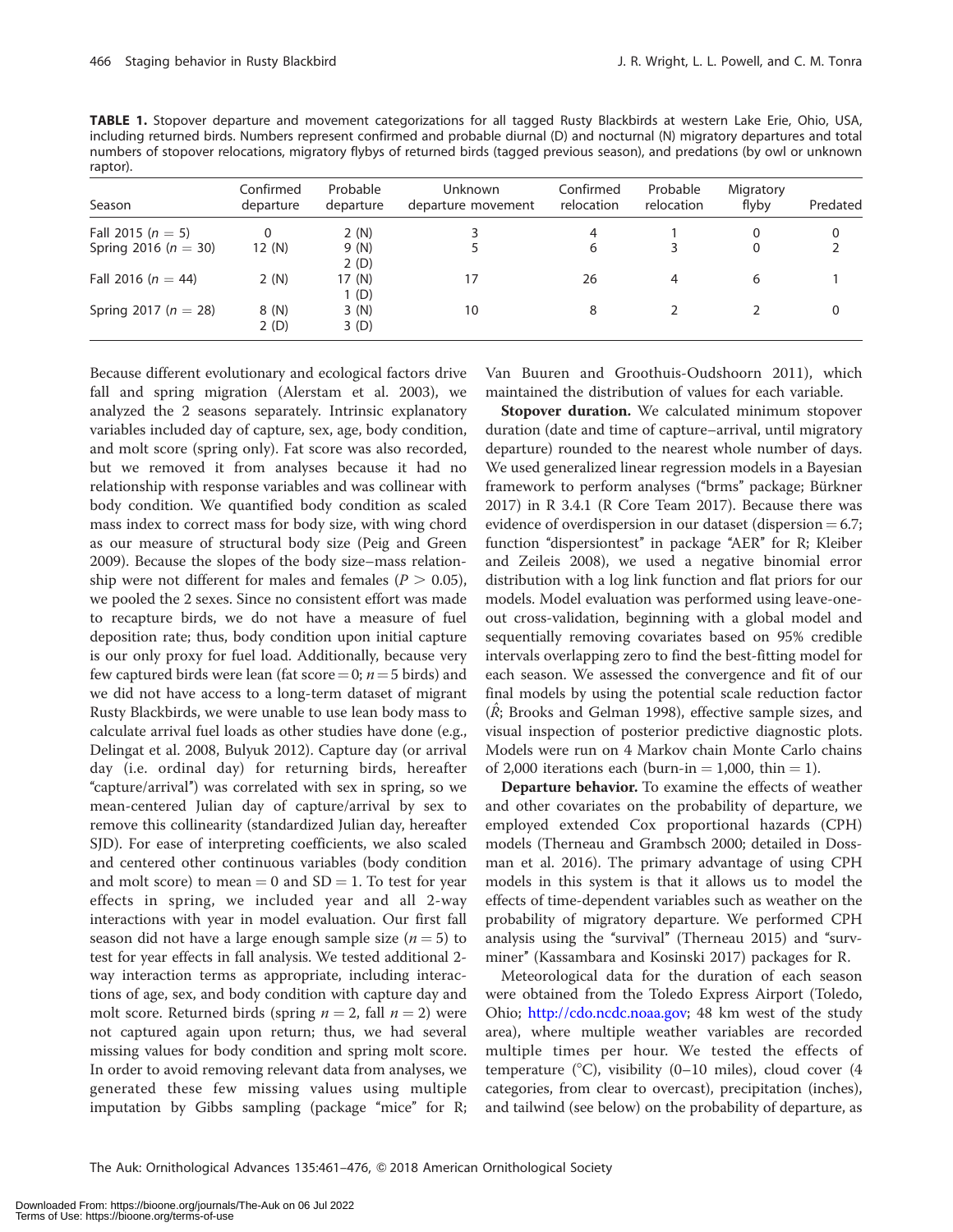TABLE 1. Stopover departure and movement categorizations for all tagged Rusty Blackbirds at western Lake Erie, Ohio, USA, including returned birds. Numbers represent confirmed and probable diurnal (D) and nocturnal (N) migratory departures and total numbers of stopover relocations, migratory flybys of returned birds (tagged previous season), and predations (by owl or unknown raptor).

| Season                   | Confirmed<br>departure | Probable<br>departure | <b>Unknown</b><br>departure movement | Confirmed<br>relocation | Probable<br>relocation | Migratory<br>flyby | Predated |
|--------------------------|------------------------|-----------------------|--------------------------------------|-------------------------|------------------------|--------------------|----------|
| Fall 2015 ( $n = 5$ )    | $\Omega$               | 2(N)                  |                                      | 4                       |                        | $\Omega$           | 0        |
| Spring 2016 ( $n = 30$ ) | 12 (N)                 | 9(N)<br>2(D)          |                                      | 6                       |                        | 0                  |          |
| Fall 2016 ( $n = 44$ )   | 2(N)                   | 17 (N)<br>1 (D)       |                                      | 26                      | 4                      | 6                  |          |
| Spring 2017 ( $n = 28$ ) | 8(N)<br>2(D)           | 3(N)<br>3(D)          | 10                                   | 8                       |                        |                    | 0        |

Because different evolutionary and ecological factors drive fall and spring migration (Alerstam et al. 2003), we analyzed the 2 seasons separately. Intrinsic explanatory variables included day of capture, sex, age, body condition, and molt score (spring only). Fat score was also recorded, but we removed it from analyses because it had no relationship with response variables and was collinear with body condition. We quantified body condition as scaled mass index to correct mass for body size, with wing chord as our measure of structural body size (Peig and Green 2009). Because the slopes of the body size–mass relationship were not different for males and females ( $P > 0.05$ ), we pooled the 2 sexes. Since no consistent effort was made to recapture birds, we do not have a measure of fuel deposition rate; thus, body condition upon initial capture is our only proxy for fuel load. Additionally, because very few captured birds were lean (fat score = 0;  $n = 5$  birds) and we did not have access to a long-term dataset of migrant Rusty Blackbirds, we were unable to use lean body mass to calculate arrival fuel loads as other studies have done (e.g., Delingat et al. 2008, Bulyuk 2012). Capture day (or arrival day (i.e. ordinal day) for returning birds, hereafter "capture/arrival") was correlated with sex in spring, so we mean-centered Julian day of capture/arrival by sex to remove this collinearity (standardized Julian day, hereafter SJD). For ease of interpreting coefficients, we also scaled and centered other continuous variables (body condition and molt score) to mean  $= 0$  and  $SD = 1$ . To test for year effects in spring, we included year and all 2-way interactions with year in model evaluation. Our first fall season did not have a large enough sample size  $(n = 5)$  to test for year effects in fall analysis. We tested additional 2 way interaction terms as appropriate, including interactions of age, sex, and body condition with capture day and molt score. Returned birds (spring  $n = 2$ , fall  $n = 2$ ) were not captured again upon return; thus, we had several missing values for body condition and spring molt score. In order to avoid removing relevant data from analyses, we generated these few missing values using multiple imputation by Gibbs sampling (package "mice" for R;

Van Buuren and Groothuis-Oudshoorn 2011), which maintained the distribution of values for each variable.

Stopover duration. We calculated minimum stopover duration (date and time of capture–arrival, until migratory departure) rounded to the nearest whole number of days. We used generalized linear regression models in a Bayesian framework to perform analyses ("brms" package; Bürkner 2017) in R 3.4.1 (R Core Team 2017). Because there was evidence of overdispersion in our dataset (dispersion  $= 6.7$ ; function "dispersiontest" in package "AER" for R; Kleiber and Zeileis 2008), we used a negative binomial error distribution with a log link function and flat priors for our models. Model evaluation was performed using leave-oneout cross-validation, beginning with a global model and sequentially removing covariates based on 95% credible intervals overlapping zero to find the best-fitting model for each season. We assessed the convergence and fit of our final models by using the potential scale reduction factor  $(\hat{R};$  Brooks and Gelman 1998), effective sample sizes, and visual inspection of posterior predictive diagnostic plots. Models were run on 4 Markov chain Monte Carlo chains of 2,000 iterations each (burn-in  $= 1,000$ , thin  $= 1$ ).

Departure behavior. To examine the effects of weather and other covariates on the probability of departure, we employed extended Cox proportional hazards (CPH) models (Therneau and Grambsch 2000; detailed in Dossman et al. 2016). The primary advantage of using CPH models in this system is that it allows us to model the effects of time-dependent variables such as weather on the probability of migratory departure. We performed CPH analysis using the "survival" (Therneau 2015) and "survminer'' (Kassambara and Kosinski 2017) packages for R.

Meteorological data for the duration of each season were obtained from the Toledo Express Airport (Toledo, Ohio; <http://cdo.ncdc.noaa.gov>; 48 km west of the study area), where multiple weather variables are recorded multiple times per hour. We tested the effects of temperature ( $^{\circ}$ C), visibility (0-10 miles), cloud cover (4 categories, from clear to overcast), precipitation (inches), and tailwind (see below) on the probability of departure, as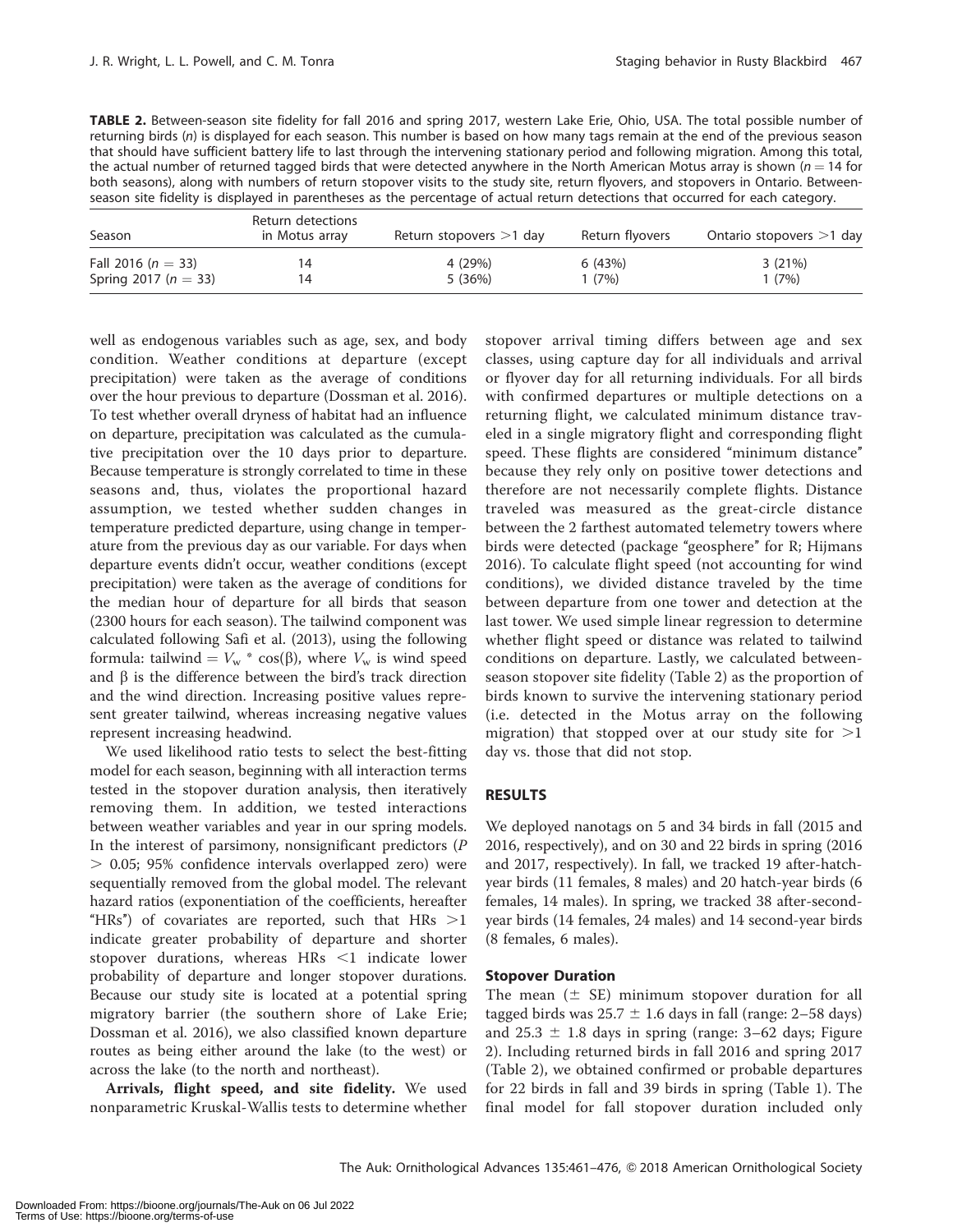| TABLE 2. Between-season site fidelity for fall 2016 and spring 2017, western Lake Erie, Ohio, USA. The total possible number of       |
|---------------------------------------------------------------------------------------------------------------------------------------|
| returning birds (n) is displayed for each season. This number is based on how many tags remain at the end of the previous season      |
| that should have sufficient battery life to last through the intervening stationary period and following migration. Among this total, |
| the actual number of returned tagged birds that were detected anywhere in the North American Motus array is shown ( $n = 14$ for      |
| both seasons), along with numbers of return stopover visits to the study site, return flyovers, and stopovers in Ontario. Between-    |
| season site fidelity is displayed in parentheses as the percentage of actual return detections that occurred for each category.       |

| Season                   | Return detections<br>in Motus array | Return stopovers $>1$ day | Return flyovers | Ontario stopovers $>1$ day |
|--------------------------|-------------------------------------|---------------------------|-----------------|----------------------------|
| Fall 2016 ( $n = 33$ )   |                                     | 4 (29%)                   | 6(43%)          | 3(21%)                     |
| Spring 2017 ( $n = 33$ ) |                                     | 5(36%)                    | (7%)            | ' (7%)                     |

well as endogenous variables such as age, sex, and body condition. Weather conditions at departure (except precipitation) were taken as the average of conditions over the hour previous to departure (Dossman et al. 2016). To test whether overall dryness of habitat had an influence on departure, precipitation was calculated as the cumulative precipitation over the 10 days prior to departure. Because temperature is strongly correlated to time in these seasons and, thus, violates the proportional hazard assumption, we tested whether sudden changes in temperature predicted departure, using change in temperature from the previous day as our variable. For days when departure events didn't occur, weather conditions (except precipitation) were taken as the average of conditions for the median hour of departure for all birds that season (2300 hours for each season). The tailwind component was calculated following Safi et al. (2013), using the following formula: tailwind =  $V_w$  \* cos( $\beta$ ), where  $V_w$  is wind speed and  $\beta$  is the difference between the bird's track direction and the wind direction. Increasing positive values represent greater tailwind, whereas increasing negative values represent increasing headwind.

We used likelihood ratio tests to select the best-fitting model for each season, beginning with all interaction terms tested in the stopover duration analysis, then iteratively removing them. In addition, we tested interactions between weather variables and year in our spring models. In the interest of parsimony, nonsignificant predictors  $(P)$  $> 0.05$ ; 95% confidence intervals overlapped zero) were sequentially removed from the global model. The relevant hazard ratios (exponentiation of the coefficients, hereafter "HRs") of covariates are reported, such that HRs  $>1$ indicate greater probability of departure and shorter stopover durations, whereas  $HRs <1$  indicate lower probability of departure and longer stopover durations. Because our study site is located at a potential spring migratory barrier (the southern shore of Lake Erie; Dossman et al. 2016), we also classified known departure routes as being either around the lake (to the west) or across the lake (to the north and northeast).

Arrivals, flight speed, and site fidelity. We used nonparametric Kruskal-Wallis tests to determine whether stopover arrival timing differs between age and sex classes, using capture day for all individuals and arrival or flyover day for all returning individuals. For all birds with confirmed departures or multiple detections on a returning flight, we calculated minimum distance traveled in a single migratory flight and corresponding flight speed. These flights are considered "minimum distance" because they rely only on positive tower detections and therefore are not necessarily complete flights. Distance traveled was measured as the great-circle distance between the 2 farthest automated telemetry towers where birds were detected (package "geosphere" for R; Hijmans 2016). To calculate flight speed (not accounting for wind conditions), we divided distance traveled by the time between departure from one tower and detection at the last tower. We used simple linear regression to determine whether flight speed or distance was related to tailwind conditions on departure. Lastly, we calculated betweenseason stopover site fidelity (Table 2) as the proportion of birds known to survive the intervening stationary period (i.e. detected in the Motus array on the following migration) that stopped over at our study site for  $>1$ day vs. those that did not stop.

# RESULTS

We deployed nanotags on 5 and 34 birds in fall (2015 and 2016, respectively), and on 30 and 22 birds in spring (2016 and 2017, respectively). In fall, we tracked 19 after-hatchyear birds (11 females, 8 males) and 20 hatch-year birds (6 females, 14 males). In spring, we tracked 38 after-secondyear birds (14 females, 24 males) and 14 second-year birds (8 females, 6 males).

# Stopover Duration

The mean  $(±$  SE) minimum stopover duration for all tagged birds was  $25.7 \pm 1.6$  days in fall (range: 2–58 days) and  $25.3 \pm 1.8$  days in spring (range: 3–62 days; Figure 2). Including returned birds in fall 2016 and spring 2017 (Table 2), we obtained confirmed or probable departures for 22 birds in fall and 39 birds in spring (Table 1). The final model for fall stopover duration included only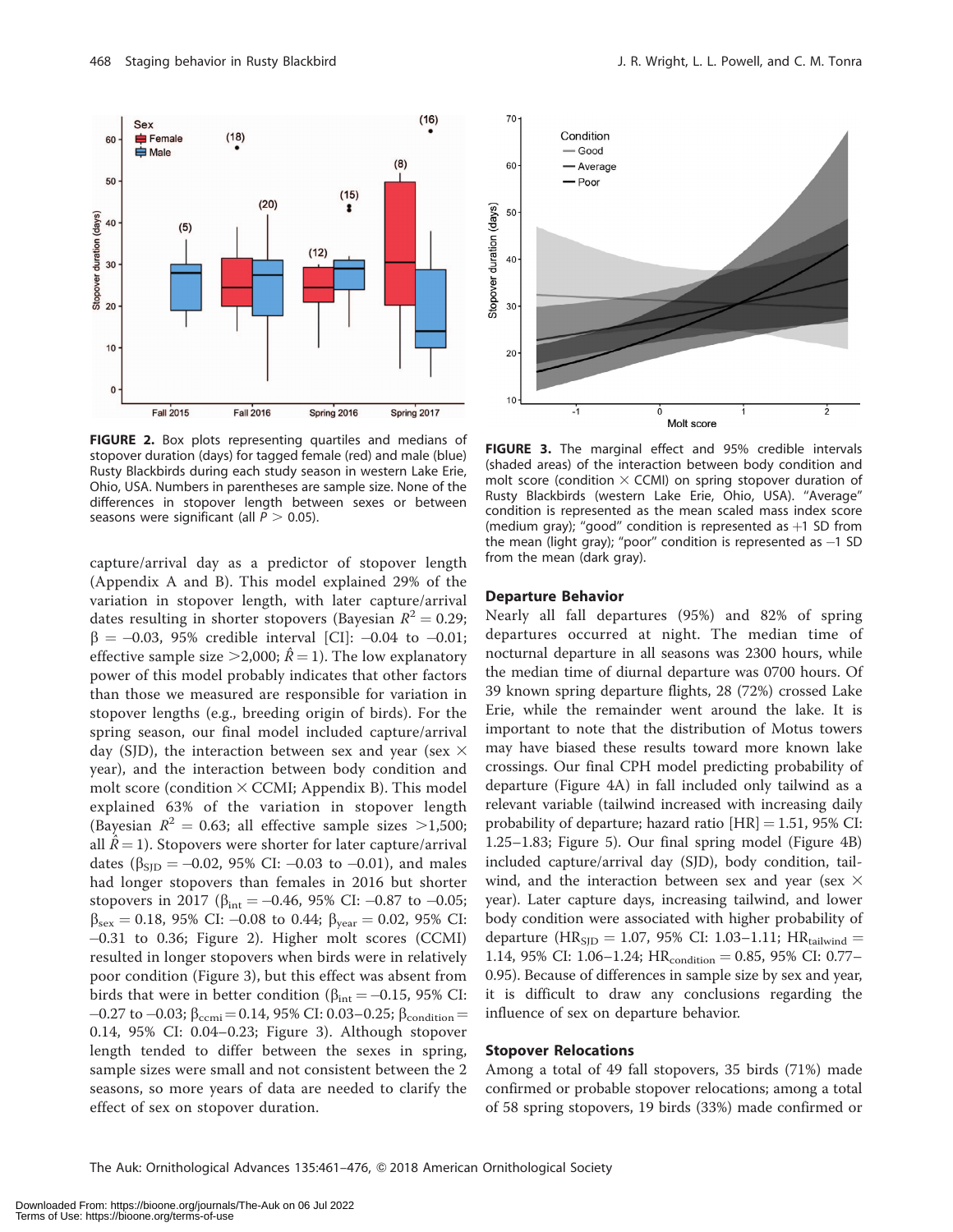

FIGURE 2. Box plots representing quartiles and medians of stopover duration (days) for tagged female (red) and male (blue) Rusty Blackbirds during each study season in western Lake Erie, Ohio, USA. Numbers in parentheses are sample size. None of the differences in stopover length between sexes or between seasons were significant (all  $P > 0.05$ ).

capture/arrival day as a predictor of stopover length (Appendix A and B). This model explained 29% of the variation in stopover length, with later capture/arrival dates resulting in shorter stopovers (Bayesian  $R^2 = 0.29$ ;  $\beta = -0.03$ , 95% credible interval [CI]:  $-0.04$  to  $-0.01$ ; effective sample size > 2,000;  $\hat{R}$  = 1). The low explanatory power of this model probably indicates that other factors than those we measured are responsible for variation in stopover lengths (e.g., breeding origin of birds). For the spring season, our final model included capture/arrival day (SJD), the interaction between sex and year (sex  $\times$ year), and the interaction between body condition and molt score (condition  $\times$  CCMI; Appendix B). This model explained 63% of the variation in stopover length (Bayesian  $R^2 = 0.63$ ; all effective sample sizes >1,500; all  $\hat{R} = 1$ ). Stopovers were shorter for later capture/arrival dates ( $\beta_{\text{SID}} = -0.02$ , 95% CI: -0.03 to -0.01), and males had longer stopovers than females in 2016 but shorter stopovers in 2017 ( $\beta_{int} = -0.46$ , 95% CI: -0.87 to -0.05;  $\beta_{\text{sex}} = 0.18$ , 95% CI: -0.08 to 0.44;  $\beta_{\text{year}} = 0.02$ , 95% CI: 0.31 to 0.36; Figure 2). Higher molt scores (CCMI) resulted in longer stopovers when birds were in relatively poor condition (Figure 3), but this effect was absent from birds that were in better condition ( $\beta_{int} = -0.15$ , 95% CI:  $-0.27$  to  $-0.03$ ;  $\beta_{\text{ccmi}} = 0.14$ , 95% CI: 0.03–0.25;  $\beta_{\text{condition}} =$ 0.14, 95% CI: 0.04–0.23; Figure 3). Although stopover length tended to differ between the sexes in spring, sample sizes were small and not consistent between the 2 seasons, so more years of data are needed to clarify the effect of sex on stopover duration.



FIGURE 3. The marginal effect and 95% credible intervals (shaded areas) of the interaction between body condition and molt score (condition  $\times$  CCMI) on spring stopover duration of Rusty Blackbirds (western Lake Erie, Ohio, USA). ''Average'' condition is represented as the mean scaled mass index score (medium gray); "good" condition is represented as  $+1$  SD from the mean (light gray); "poor" condition is represented as  $-1$  SD from the mean (dark gray).

#### Departure Behavior

Nearly all fall departures (95%) and 82% of spring departures occurred at night. The median time of nocturnal departure in all seasons was 2300 hours, while the median time of diurnal departure was 0700 hours. Of 39 known spring departure flights, 28 (72%) crossed Lake Erie, while the remainder went around the lake. It is important to note that the distribution of Motus towers may have biased these results toward more known lake crossings. Our final CPH model predicting probability of departure (Figure 4A) in fall included only tailwind as a relevant variable (tailwind increased with increasing daily probability of departure; hazard ratio  $[HR] = 1.51$ , 95% CI: 1.25–1.83; Figure 5). Our final spring model (Figure 4B) included capture/arrival day (SJD), body condition, tailwind, and the interaction between sex and year (sex  $\times$ year). Later capture days, increasing tailwind, and lower body condition were associated with higher probability of departure ( $HR_{SID} = 1.07$ , 95% CI: 1.03–1.11;  $HR_{tailwind} =$ 1.14, 95% CI: 1.06–1.24;  $HR_{\text{condition}} = 0.85$ , 95% CI: 0.77– 0.95). Because of differences in sample size by sex and year, it is difficult to draw any conclusions regarding the influence of sex on departure behavior.

#### Stopover Relocations

Among a total of 49 fall stopovers, 35 birds (71%) made confirmed or probable stopover relocations; among a total of 58 spring stopovers, 19 birds (33%) made confirmed or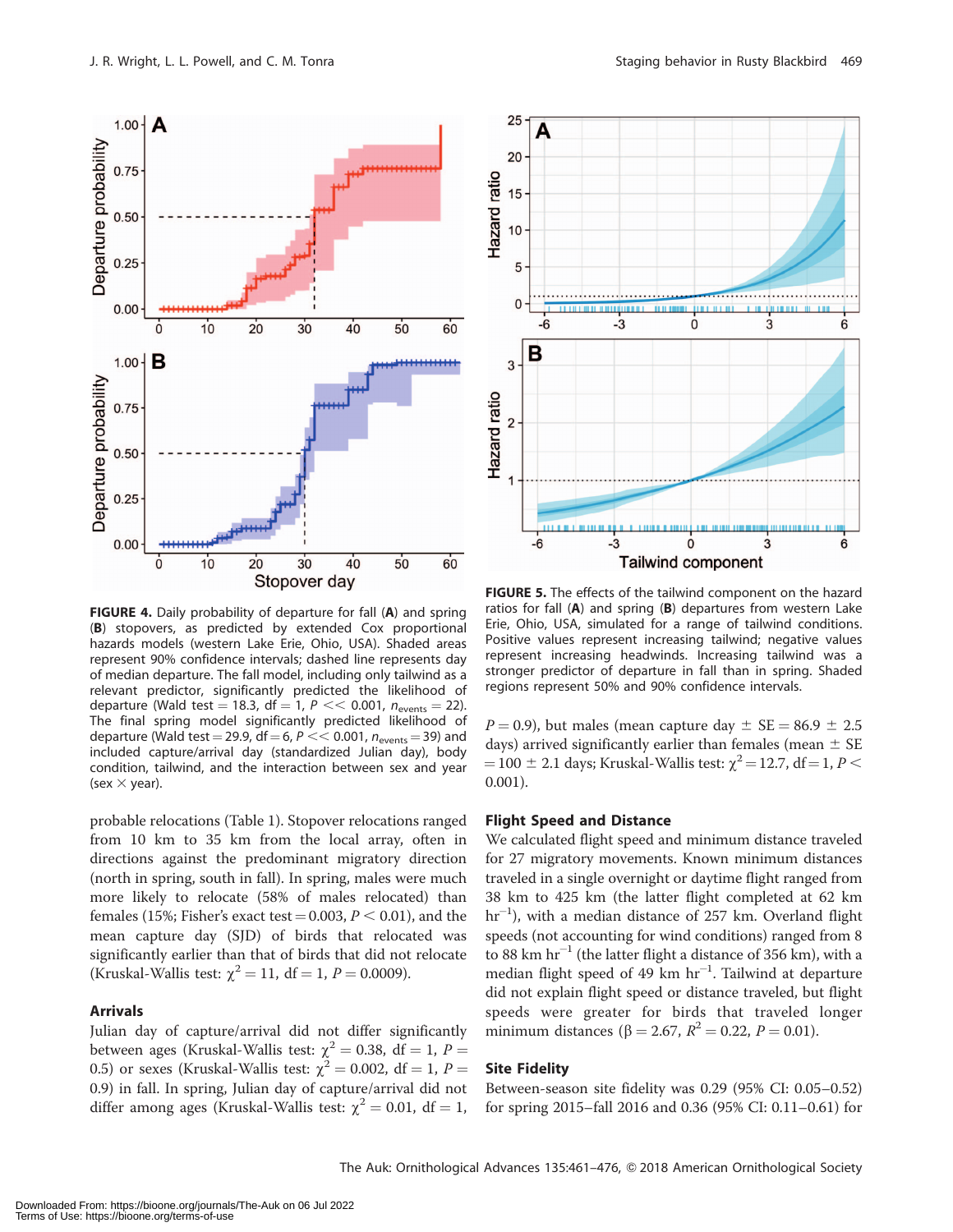

FIGURE 4. Daily probability of departure for fall (A) and spring (B) stopovers, as predicted by extended Cox proportional hazards models (western Lake Erie, Ohio, USA). Shaded areas represent 90% confidence intervals; dashed line represents day of median departure. The fall model, including only tailwind as a relevant predictor, significantly predicted the likelihood of departure (Wald test = 18.3, df = 1,  $P \ll 0.001$ ,  $n_{events} = 22$ ). The final spring model significantly predicted likelihood of departure (Wald test = 29.9, df = 6,  $P \ll 0.001$ ,  $n_{\text{events}} = 39$ ) and included capture/arrival day (standardized Julian day), body condition, tailwind, and the interaction between sex and year (sex  $\times$  year).

probable relocations (Table 1). Stopover relocations ranged from 10 km to 35 km from the local array, often in directions against the predominant migratory direction (north in spring, south in fall). In spring, males were much more likely to relocate (58% of males relocated) than females (15%; Fisher's exact test = 0.003,  $P < 0.01$ ), and the mean capture day (SJD) of birds that relocated was significantly earlier than that of birds that did not relocate (Kruskal-Wallis test:  $\chi^2 = 11$ , df = 1, P = 0.0009).

# Arrivals

Julian day of capture/arrival did not differ significantly between ages (Kruskal-Wallis test:  $\chi^2 = 0.38$ , df = 1, P = 0.5) or sexes (Kruskal-Wallis test:  $\chi^2 = 0.002$ , df = 1, P = 0.9) in fall. In spring, Julian day of capture/arrival did not differ among ages (Kruskal-Wallis test:  $\chi^2 = 0.01$ , df = 1,





FIGURE 5. The effects of the tailwind component on the hazard ratios for fall (A) and spring (B) departures from western Lake Erie, Ohio, USA, simulated for a range of tailwind conditions. Positive values represent increasing tailwind; negative values represent increasing headwinds. Increasing tailwind was a stronger predictor of departure in fall than in spring. Shaded regions represent 50% and 90% confidence intervals.

 $P = 0.9$ ), but males (mean capture day  $\pm$  SE = 86.9  $\pm$  2.5 days) arrived significantly earlier than females (mean  $\pm$  SE  $\gamma = 100 \pm 2.1$  days; Kruskal-Wallis test:  $\chi^2 = 12.7$ , df  $= 1, P$ 0.001).

# Flight Speed and Distance

We calculated flight speed and minimum distance traveled for 27 migratory movements. Known minimum distances traveled in a single overnight or daytime flight ranged from 38 km to 425 km (the latter flight completed at 62 km  $hr^{-1}$ ), with a median distance of 257 km. Overland flight speeds (not accounting for wind conditions) ranged from 8 to 88 km  $hr^{-1}$  (the latter flight a distance of 356 km), with a median flight speed of 49  $km \ hr^{-1}$ . Tailwind at departure did not explain flight speed or distance traveled, but flight speeds were greater for birds that traveled longer minimum distances ( $\beta = 2.67$ ,  $R^2 = 0.22$ ,  $P = 0.01$ ).

#### Site Fidelity

Between-season site fidelity was 0.29 (95% CI: 0.05–0.52) for spring 2015–fall 2016 and 0.36 (95% CI: 0.11–0.61) for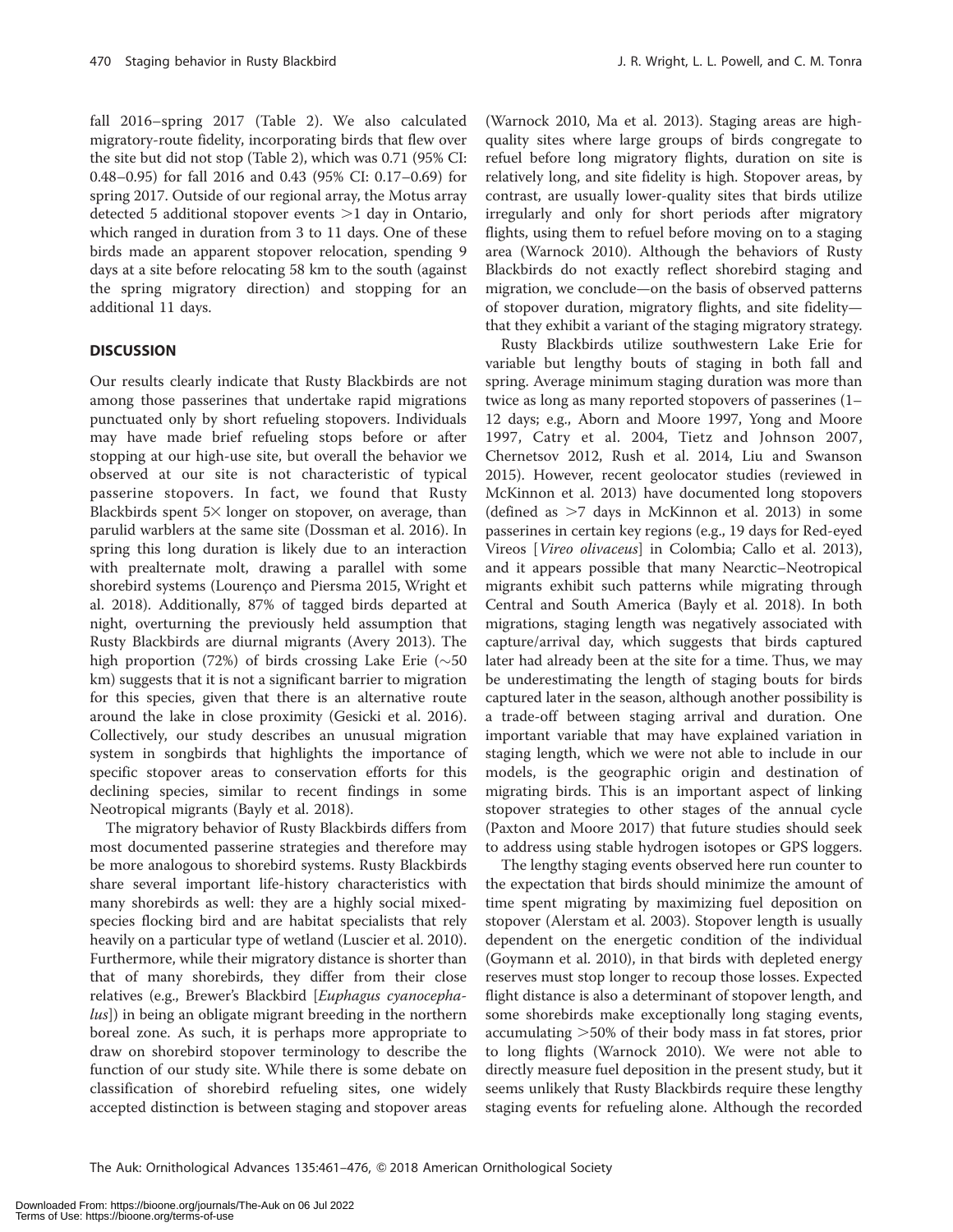fall 2016–spring 2017 (Table 2). We also calculated migratory-route fidelity, incorporating birds that flew over the site but did not stop (Table 2), which was 0.71 (95% CI: 0.48–0.95) for fall 2016 and 0.43 (95% CI: 0.17–0.69) for spring 2017. Outside of our regional array, the Motus array detected 5 additional stopover events  $>1$  day in Ontario, which ranged in duration from 3 to 11 days. One of these birds made an apparent stopover relocation, spending 9 days at a site before relocating 58 km to the south (against the spring migratory direction) and stopping for an additional 11 days.

# **DISCUSSION**

Our results clearly indicate that Rusty Blackbirds are not among those passerines that undertake rapid migrations punctuated only by short refueling stopovers. Individuals may have made brief refueling stops before or after stopping at our high-use site, but overall the behavior we observed at our site is not characteristic of typical passerine stopovers. In fact, we found that Rusty Blackbirds spent  $5 \times$  longer on stopover, on average, than parulid warblers at the same site (Dossman et al. 2016). In spring this long duration is likely due to an interaction with prealternate molt, drawing a parallel with some shorebird systems (Lourenço and Piersma 2015, Wright et al. 2018). Additionally, 87% of tagged birds departed at night, overturning the previously held assumption that Rusty Blackbirds are diurnal migrants (Avery 2013). The high proportion (72%) of birds crossing Lake Erie ( $\sim$ 50 km) suggests that it is not a significant barrier to migration for this species, given that there is an alternative route around the lake in close proximity (Gesicki et al. 2016). Collectively, our study describes an unusual migration system in songbirds that highlights the importance of specific stopover areas to conservation efforts for this declining species, similar to recent findings in some Neotropical migrants (Bayly et al. 2018).

The migratory behavior of Rusty Blackbirds differs from most documented passerine strategies and therefore may be more analogous to shorebird systems. Rusty Blackbirds share several important life-history characteristics with many shorebirds as well: they are a highly social mixedspecies flocking bird and are habitat specialists that rely heavily on a particular type of wetland (Luscier et al. 2010). Furthermore, while their migratory distance is shorter than that of many shorebirds, they differ from their close relatives (e.g., Brewer's Blackbird [Euphagus cyanocepha- $[lus]$ ) in being an obligate migrant breeding in the northern boreal zone. As such, it is perhaps more appropriate to draw on shorebird stopover terminology to describe the function of our study site. While there is some debate on classification of shorebird refueling sites, one widely accepted distinction is between staging and stopover areas

(Warnock 2010, Ma et al. 2013). Staging areas are highquality sites where large groups of birds congregate to refuel before long migratory flights, duration on site is relatively long, and site fidelity is high. Stopover areas, by contrast, are usually lower-quality sites that birds utilize irregularly and only for short periods after migratory flights, using them to refuel before moving on to a staging area (Warnock 2010). Although the behaviors of Rusty Blackbirds do not exactly reflect shorebird staging and migration, we conclude—on the basis of observed patterns of stopover duration, migratory flights, and site fidelity that they exhibit a variant of the staging migratory strategy.

Rusty Blackbirds utilize southwestern Lake Erie for variable but lengthy bouts of staging in both fall and spring. Average minimum staging duration was more than twice as long as many reported stopovers of passerines (1– 12 days; e.g., Aborn and Moore 1997, Yong and Moore 1997, Catry et al. 2004, Tietz and Johnson 2007, Chernetsov 2012, Rush et al. 2014, Liu and Swanson 2015). However, recent geolocator studies (reviewed in McKinnon et al. 2013) have documented long stopovers (defined as  $>7$  days in McKinnon et al. 2013) in some passerines in certain key regions (e.g., 19 days for Red-eyed Vireos [Vireo olivaceus] in Colombia; Callo et al. 2013), and it appears possible that many Nearctic–Neotropical migrants exhibit such patterns while migrating through Central and South America (Bayly et al. 2018). In both migrations, staging length was negatively associated with capture/arrival day, which suggests that birds captured later had already been at the site for a time. Thus, we may be underestimating the length of staging bouts for birds captured later in the season, although another possibility is a trade-off between staging arrival and duration. One important variable that may have explained variation in staging length, which we were not able to include in our models, is the geographic origin and destination of migrating birds. This is an important aspect of linking stopover strategies to other stages of the annual cycle (Paxton and Moore 2017) that future studies should seek to address using stable hydrogen isotopes or GPS loggers.

The lengthy staging events observed here run counter to the expectation that birds should minimize the amount of time spent migrating by maximizing fuel deposition on stopover (Alerstam et al. 2003). Stopover length is usually dependent on the energetic condition of the individual (Goymann et al. 2010), in that birds with depleted energy reserves must stop longer to recoup those losses. Expected flight distance is also a determinant of stopover length, and some shorebirds make exceptionally long staging events, accumulating  $>50\%$  of their body mass in fat stores, prior to long flights (Warnock 2010). We were not able to directly measure fuel deposition in the present study, but it seems unlikely that Rusty Blackbirds require these lengthy staging events for refueling alone. Although the recorded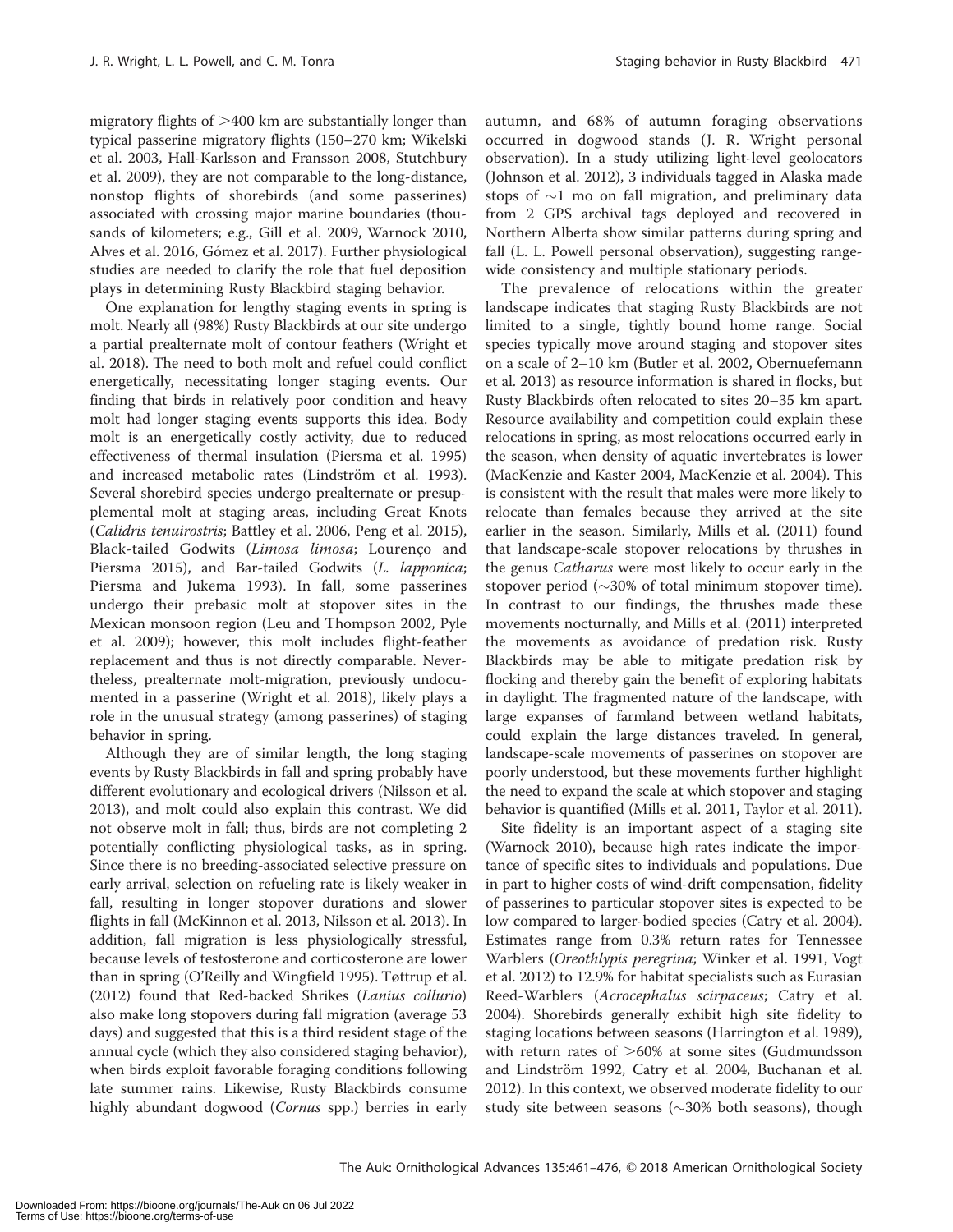migratory flights of  $>400$  km are substantially longer than typical passerine migratory flights (150–270 km; Wikelski et al. 2003, Hall-Karlsson and Fransson 2008, Stutchbury et al. 2009), they are not comparable to the long-distance, nonstop flights of shorebirds (and some passerines) associated with crossing major marine boundaries (thousands of kilometers; e.g., Gill et al. 2009, Warnock 2010, Alves et al. 2016, Gómez et al. 2017). Further physiological studies are needed to clarify the role that fuel deposition plays in determining Rusty Blackbird staging behavior.

One explanation for lengthy staging events in spring is molt. Nearly all (98%) Rusty Blackbirds at our site undergo a partial prealternate molt of contour feathers (Wright et al. 2018). The need to both molt and refuel could conflict energetically, necessitating longer staging events. Our finding that birds in relatively poor condition and heavy molt had longer staging events supports this idea. Body molt is an energetically costly activity, due to reduced effectiveness of thermal insulation (Piersma et al. 1995) and increased metabolic rates (Lindström et al. 1993). Several shorebird species undergo prealternate or presupplemental molt at staging areas, including Great Knots (Calidris tenuirostris; Battley et al. 2006, Peng et al. 2015), Black-tailed Godwits (Limosa limosa; Lourenço and Piersma 2015), and Bar-tailed Godwits (L. lapponica; Piersma and Jukema 1993). In fall, some passerines undergo their prebasic molt at stopover sites in the Mexican monsoon region (Leu and Thompson 2002, Pyle et al. 2009); however, this molt includes flight-feather replacement and thus is not directly comparable. Nevertheless, prealternate molt-migration, previously undocumented in a passerine (Wright et al. 2018), likely plays a role in the unusual strategy (among passerines) of staging behavior in spring.

Although they are of similar length, the long staging events by Rusty Blackbirds in fall and spring probably have different evolutionary and ecological drivers (Nilsson et al. 2013), and molt could also explain this contrast. We did not observe molt in fall; thus, birds are not completing 2 potentially conflicting physiological tasks, as in spring. Since there is no breeding-associated selective pressure on early arrival, selection on refueling rate is likely weaker in fall, resulting in longer stopover durations and slower flights in fall (McKinnon et al. 2013, Nilsson et al. 2013). In addition, fall migration is less physiologically stressful, because levels of testosterone and corticosterone are lower than in spring (O'Reilly and Wingfield 1995). Tøttrup et al. (2012) found that Red-backed Shrikes (Lanius collurio) also make long stopovers during fall migration (average 53 days) and suggested that this is a third resident stage of the annual cycle (which they also considered staging behavior), when birds exploit favorable foraging conditions following late summer rains. Likewise, Rusty Blackbirds consume highly abundant dogwood (Cornus spp.) berries in early autumn, and 68% of autumn foraging observations occurred in dogwood stands (J. R. Wright personal observation). In a study utilizing light-level geolocators (Johnson et al. 2012), 3 individuals tagged in Alaska made stops of  $\sim$ 1 mo on fall migration, and preliminary data from 2 GPS archival tags deployed and recovered in Northern Alberta show similar patterns during spring and fall (L. L. Powell personal observation), suggesting rangewide consistency and multiple stationary periods.

The prevalence of relocations within the greater landscape indicates that staging Rusty Blackbirds are not limited to a single, tightly bound home range. Social species typically move around staging and stopover sites on a scale of 2–10 km (Butler et al. 2002, Obernuefemann et al. 2013) as resource information is shared in flocks, but Rusty Blackbirds often relocated to sites 20–35 km apart. Resource availability and competition could explain these relocations in spring, as most relocations occurred early in the season, when density of aquatic invertebrates is lower (MacKenzie and Kaster 2004, MacKenzie et al. 2004). This is consistent with the result that males were more likely to relocate than females because they arrived at the site earlier in the season. Similarly, Mills et al. (2011) found that landscape-scale stopover relocations by thrushes in the genus Catharus were most likely to occur early in the stopover period  $(\sim 30\%$  of total minimum stopover time). In contrast to our findings, the thrushes made these movements nocturnally, and Mills et al. (2011) interpreted the movements as avoidance of predation risk. Rusty Blackbirds may be able to mitigate predation risk by flocking and thereby gain the benefit of exploring habitats in daylight. The fragmented nature of the landscape, with large expanses of farmland between wetland habitats, could explain the large distances traveled. In general, landscape-scale movements of passerines on stopover are poorly understood, but these movements further highlight the need to expand the scale at which stopover and staging behavior is quantified (Mills et al. 2011, Taylor et al. 2011).

Site fidelity is an important aspect of a staging site (Warnock 2010), because high rates indicate the importance of specific sites to individuals and populations. Due in part to higher costs of wind-drift compensation, fidelity of passerines to particular stopover sites is expected to be low compared to larger-bodied species (Catry et al. 2004). Estimates range from 0.3% return rates for Tennessee Warblers (Oreothlypis peregrina; Winker et al. 1991, Vogt et al. 2012) to 12.9% for habitat specialists such as Eurasian Reed-Warblers (Acrocephalus scirpaceus; Catry et al. 2004). Shorebirds generally exhibit high site fidelity to staging locations between seasons (Harrington et al. 1989), with return rates of  $>60\%$  at some sites (Gudmundsson and Lindström 1992, Catry et al. 2004, Buchanan et al. 2012). In this context, we observed moderate fidelity to our study site between seasons ( $\sim$ 30% both seasons), though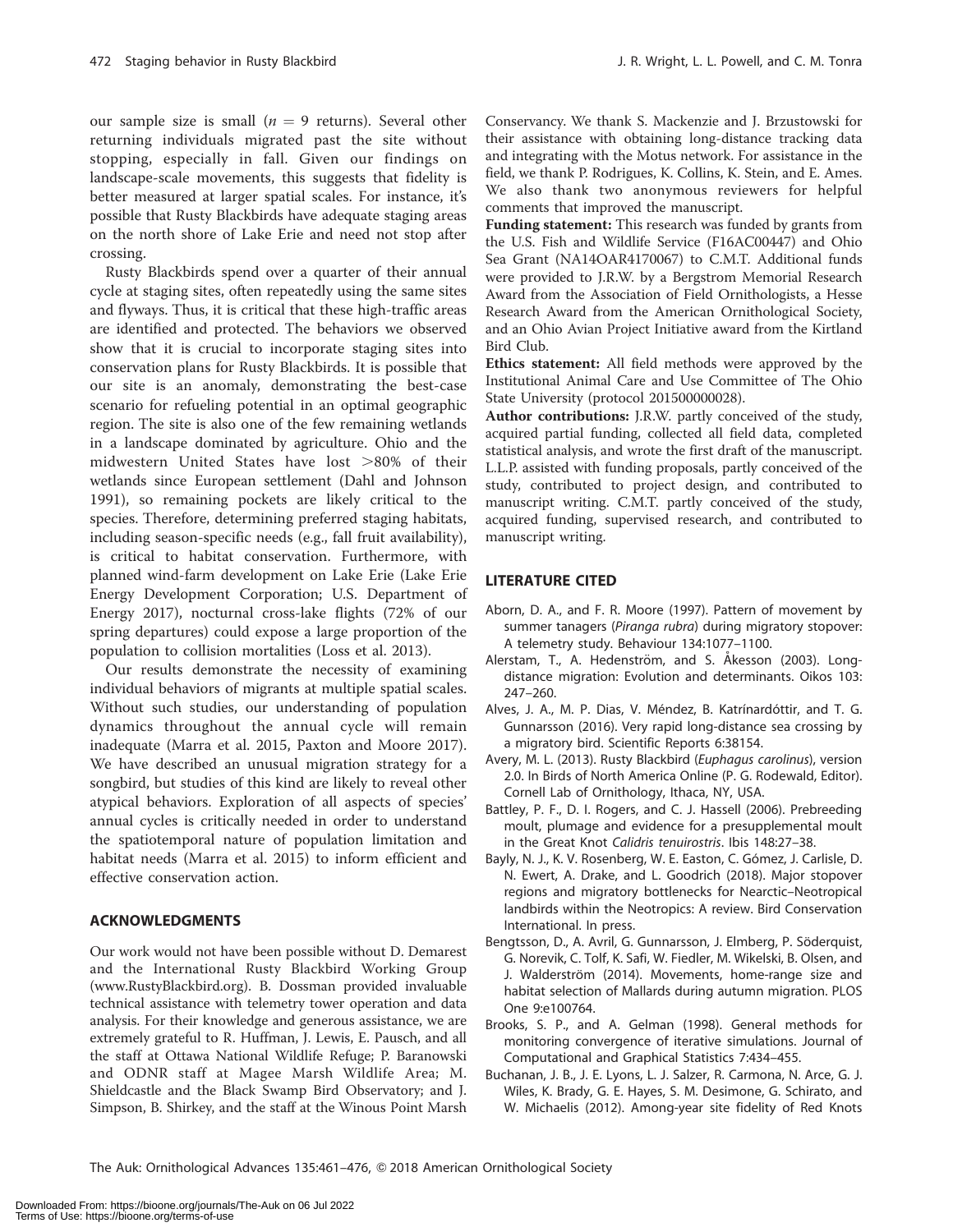our sample size is small ( $n = 9$  returns). Several other returning individuals migrated past the site without stopping, especially in fall. Given our findings on landscape-scale movements, this suggests that fidelity is better measured at larger spatial scales. For instance, it's possible that Rusty Blackbirds have adequate staging areas on the north shore of Lake Erie and need not stop after crossing.

Rusty Blackbirds spend over a quarter of their annual cycle at staging sites, often repeatedly using the same sites and flyways. Thus, it is critical that these high-traffic areas are identified and protected. The behaviors we observed show that it is crucial to incorporate staging sites into conservation plans for Rusty Blackbirds. It is possible that our site is an anomaly, demonstrating the best-case scenario for refueling potential in an optimal geographic region. The site is also one of the few remaining wetlands in a landscape dominated by agriculture. Ohio and the midwestern United States have lost  $>80\%$  of their wetlands since European settlement (Dahl and Johnson 1991), so remaining pockets are likely critical to the species. Therefore, determining preferred staging habitats, including season-specific needs (e.g., fall fruit availability), is critical to habitat conservation. Furthermore, with planned wind-farm development on Lake Erie (Lake Erie Energy Development Corporation; U.S. Department of Energy 2017), nocturnal cross-lake flights (72% of our spring departures) could expose a large proportion of the population to collision mortalities (Loss et al. 2013).

Our results demonstrate the necessity of examining individual behaviors of migrants at multiple spatial scales. Without such studies, our understanding of population dynamics throughout the annual cycle will remain inadequate (Marra et al. 2015, Paxton and Moore 2017). We have described an unusual migration strategy for a songbird, but studies of this kind are likely to reveal other atypical behaviors. Exploration of all aspects of species' annual cycles is critically needed in order to understand the spatiotemporal nature of population limitation and habitat needs (Marra et al. 2015) to inform efficient and effective conservation action.

#### ACKNOWLEDGMENTS

Our work would not have been possible without D. Demarest and the International Rusty Blackbird Working Group (www.RustyBlackbird.org). B. Dossman provided invaluable technical assistance with telemetry tower operation and data analysis. For their knowledge and generous assistance, we are extremely grateful to R. Huffman, J. Lewis, E. Pausch, and all the staff at Ottawa National Wildlife Refuge; P. Baranowski and ODNR staff at Magee Marsh Wildlife Area; M. Shieldcastle and the Black Swamp Bird Observatory; and J. Simpson, B. Shirkey, and the staff at the Winous Point Marsh

Conservancy. We thank S. Mackenzie and J. Brzustowski for their assistance with obtaining long-distance tracking data and integrating with the Motus network. For assistance in the field, we thank P. Rodrigues, K. Collins, K. Stein, and E. Ames. We also thank two anonymous reviewers for helpful comments that improved the manuscript.

Funding statement: This research was funded by grants from the U.S. Fish and Wildlife Service (F16AC00447) and Ohio Sea Grant (NA14OAR4170067) to C.M.T. Additional funds were provided to J.R.W. by a Bergstrom Memorial Research Award from the Association of Field Ornithologists, a Hesse Research Award from the American Ornithological Society, and an Ohio Avian Project Initiative award from the Kirtland Bird Club.

Ethics statement: All field methods were approved by the Institutional Animal Care and Use Committee of The Ohio State University (protocol 201500000028).

Author contributions: J.R.W. partly conceived of the study, acquired partial funding, collected all field data, completed statistical analysis, and wrote the first draft of the manuscript. L.L.P. assisted with funding proposals, partly conceived of the study, contributed to project design, and contributed to manuscript writing. C.M.T. partly conceived of the study, acquired funding, supervised research, and contributed to manuscript writing.

# LITERATURE CITED

- Aborn, D. A., and F. R. Moore (1997). Pattern of movement by summer tanagers (Piranga rubra) during migratory stopover: A telemetry study. Behaviour 134:1077–1100.
- Alerstam, T., A. Hedenström, and S. Äkesson (2003). Longdistance migration: Evolution and determinants. Oikos 103: 247–260.
- Alves, J. A., M. P. Dias, V. Méndez, B. Katrínardóttir, and T. G. Gunnarsson (2016). Very rapid long-distance sea crossing by a migratory bird. Scientific Reports 6:38154.
- Avery, M. L. (2013). Rusty Blackbird (Euphagus carolinus), version 2.0. In Birds of North America Online (P. G. Rodewald, Editor). Cornell Lab of Ornithology, Ithaca, NY, USA.
- Battley, P. F., D. I. Rogers, and C. J. Hassell (2006). Prebreeding moult, plumage and evidence for a presupplemental moult in the Great Knot Calidris tenuirostris. Ibis 148:27–38.
- Bayly, N. J., K. V. Rosenberg, W. E. Easton, C. Gómez, J. Carlisle, D. N. Ewert, A. Drake, and L. Goodrich (2018). Major stopover regions and migratory bottlenecks for Nearctic–Neotropical landbirds within the Neotropics: A review. Bird Conservation International. In press.
- Bengtsson, D., A. Avril, G. Gunnarsson, J. Elmberg, P. Söderquist, G. Norevik, C. Tolf, K. Safi, W. Fiedler, M. Wikelski, B. Olsen, and J. Walderström (2014). Movements, home-range size and habitat selection of Mallards during autumn migration. PLOS One 9:e100764.
- Brooks, S. P., and A. Gelman (1998). General methods for monitoring convergence of iterative simulations. Journal of Computational and Graphical Statistics 7:434–455.
- Buchanan, J. B., J. E. Lyons, L. J. Salzer, R. Carmona, N. Arce, G. J. Wiles, K. Brady, G. E. Hayes, S. M. Desimone, G. Schirato, and W. Michaelis (2012). Among-year site fidelity of Red Knots

The Auk: Ornithological Advances 135:461-476, © 2018 American Ornithological Society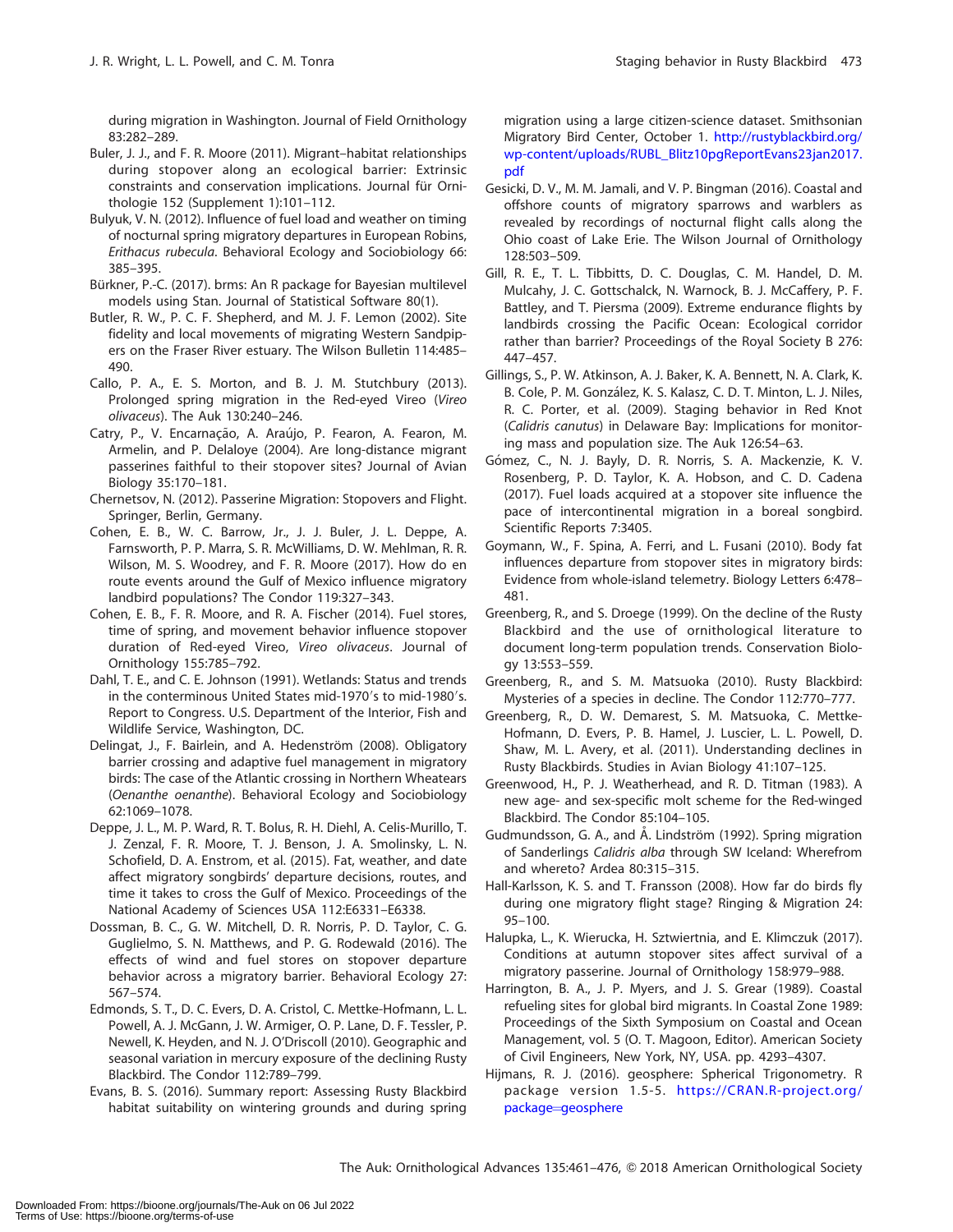during migration in Washington. Journal of Field Ornithology 83:282–289.

- Buler, J. J., and F. R. Moore (2011). Migrant–habitat relationships during stopover along an ecological barrier: Extrinsic constraints and conservation implications. Journal für Ornithologie 152 (Supplement 1):101–112.
- Bulyuk, V. N. (2012). Influence of fuel load and weather on timing of nocturnal spring migratory departures in European Robins, Erithacus rubecula. Behavioral Ecology and Sociobiology 66: 385–395.
- Bürkner, P.-C. (2017). brms: An R package for Bayesian multilevel models using Stan. Journal of Statistical Software 80(1).
- Butler, R. W., P. C. F. Shepherd, and M. J. F. Lemon (2002). Site fidelity and local movements of migrating Western Sandpipers on the Fraser River estuary. The Wilson Bulletin 114:485– 490.
- Callo, P. A., E. S. Morton, and B. J. M. Stutchbury (2013). Prolonged spring migration in the Red-eyed Vireo (Vireo olivaceus). The Auk 130:240–246.
- Catry, P., V. Encarnação, A. Araújo, P. Fearon, A. Fearon, M. Armelin, and P. Delaloye (2004). Are long-distance migrant passerines faithful to their stopover sites? Journal of Avian Biology 35:170–181.
- Chernetsov, N. (2012). Passerine Migration: Stopovers and Flight. Springer, Berlin, Germany.
- Cohen, E. B., W. C. Barrow, Jr., J. J. Buler, J. L. Deppe, A. Farnsworth, P. P. Marra, S. R. McWilliams, D. W. Mehlman, R. R. Wilson, M. S. Woodrey, and F. R. Moore (2017). How do en route events around the Gulf of Mexico influence migratory landbird populations? The Condor 119:327–343.
- Cohen, E. B., F. R. Moore, and R. A. Fischer (2014). Fuel stores, time of spring, and movement behavior influence stopover duration of Red-eyed Vireo, Vireo olivaceus. Journal of Ornithology 155:785–792.
- Dahl, T. E., and C. E. Johnson (1991). Wetlands: Status and trends in the conterminous United States mid-1970's to mid-1980's. Report to Congress. U.S. Department of the Interior, Fish and Wildlife Service, Washington, DC.
- Delingat, J., F. Bairlein, and A. Hedenström (2008). Obligatory barrier crossing and adaptive fuel management in migratory birds: The case of the Atlantic crossing in Northern Wheatears (Oenanthe oenanthe). Behavioral Ecology and Sociobiology 62:1069–1078.
- Deppe, J. L., M. P. Ward, R. T. Bolus, R. H. Diehl, A. Celis-Murillo, T. J. Zenzal, F. R. Moore, T. J. Benson, J. A. Smolinsky, L. N. Schofield, D. A. Enstrom, et al. (2015). Fat, weather, and date affect migratory songbirds' departure decisions, routes, and time it takes to cross the Gulf of Mexico. Proceedings of the National Academy of Sciences USA 112:E6331–E6338.
- Dossman, B. C., G. W. Mitchell, D. R. Norris, P. D. Taylor, C. G. Guglielmo, S. N. Matthews, and P. G. Rodewald (2016). The effects of wind and fuel stores on stopover departure behavior across a migratory barrier. Behavioral Ecology 27: 567–574.
- Edmonds, S. T., D. C. Evers, D. A. Cristol, C. Mettke-Hofmann, L. L. Powell, A. J. McGann, J. W. Armiger, O. P. Lane, D. F. Tessler, P. Newell, K. Heyden, and N. J. O'Driscoll (2010). Geographic and seasonal variation in mercury exposure of the declining Rusty Blackbird. The Condor 112:789–799.
- Evans, B. S. (2016). Summary report: Assessing Rusty Blackbird habitat suitability on wintering grounds and during spring

migration using a large citizen-science dataset. Smithsonian Migratory Bird Center, October 1. [http://rustyblackbird.org/](http://rustyblackbird.org/wp-content/uploads/RUBL_Blitz10pgReportEvans23jan2017.pdf) [wp-content/uploads/RUBL\\_Blitz10pgReportEvans23jan2017.](http://rustyblackbird.org/wp-content/uploads/RUBL_Blitz10pgReportEvans23jan2017.pdf) [pdf](http://rustyblackbird.org/wp-content/uploads/RUBL_Blitz10pgReportEvans23jan2017.pdf)

- Gesicki, D. V., M. M. Jamali, and V. P. Bingman (2016). Coastal and offshore counts of migratory sparrows and warblers as revealed by recordings of nocturnal flight calls along the Ohio coast of Lake Erie. The Wilson Journal of Ornithology 128:503–509.
- Gill, R. E., T. L. Tibbitts, D. C. Douglas, C. M. Handel, D. M. Mulcahy, J. C. Gottschalck, N. Warnock, B. J. McCaffery, P. F. Battley, and T. Piersma (2009). Extreme endurance flights by landbirds crossing the Pacific Ocean: Ecological corridor rather than barrier? Proceedings of the Royal Society B 276: 447–457.
- Gillings, S., P. W. Atkinson, A. J. Baker, K. A. Bennett, N. A. Clark, K. B. Cole, P. M. González, K. S. Kalasz, C. D. T. Minton, L. J. Niles, R. C. Porter, et al. (2009). Staging behavior in Red Knot (Calidris canutus) in Delaware Bay: Implications for monitoring mass and population size. The Auk 126:54–63.
- Gómez, C., N. J. Bayly, D. R. Norris, S. A. Mackenzie, K. V. Rosenberg, P. D. Taylor, K. A. Hobson, and C. D. Cadena (2017). Fuel loads acquired at a stopover site influence the pace of intercontinental migration in a boreal songbird. Scientific Reports 7:3405.
- Goymann, W., F. Spina, A. Ferri, and L. Fusani (2010). Body fat influences departure from stopover sites in migratory birds: Evidence from whole-island telemetry. Biology Letters 6:478– 481.
- Greenberg, R., and S. Droege (1999). On the decline of the Rusty Blackbird and the use of ornithological literature to document long-term population trends. Conservation Biology 13:553–559.
- Greenberg, R., and S. M. Matsuoka (2010). Rusty Blackbird: Mysteries of a species in decline. The Condor 112:770–777.
- Greenberg, R., D. W. Demarest, S. M. Matsuoka, C. Mettke-Hofmann, D. Evers, P. B. Hamel, J. Luscier, L. L. Powell, D. Shaw, M. L. Avery, et al. (2011). Understanding declines in Rusty Blackbirds. Studies in Avian Biology 41:107–125.
- Greenwood, H., P. J. Weatherhead, and R. D. Titman (1983). A new age- and sex-specific molt scheme for the Red-winged Blackbird. The Condor 85:104–105.
- Gudmundsson, G. A., and Å. Lindström (1992). Spring migration of Sanderlings Calidris alba through SW Iceland: Wherefrom and whereto? Ardea 80:315–315.
- Hall-Karlsson, K. S. and T. Fransson (2008). How far do birds fly during one migratory flight stage? Ringing & Migration 24: 95–100.
- Halupka, L., K. Wierucka, H. Sztwiertnia, and E. Klimczuk (2017). Conditions at autumn stopover sites affect survival of a migratory passerine. Journal of Ornithology 158:979–988.
- Harrington, B. A., J. P. Myers, and J. S. Grear (1989). Coastal refueling sites for global bird migrants. In Coastal Zone 1989: Proceedings of the Sixth Symposium on Coastal and Ocean Management, vol. 5 (O. T. Magoon, Editor). American Society of Civil Engineers, New York, NY, USA. pp. 4293–4307.
- Hijmans, R. J. (2016). geosphere: Spherical Trigonometry. R package version 1.5-5. [https://CRAN.R-project.org/](https://CRAN.R-project.org/package=geosphere) [package](https://CRAN.R-project.org/package=geosphere)=[geosphere](https://CRAN.R-project.org/package=geosphere)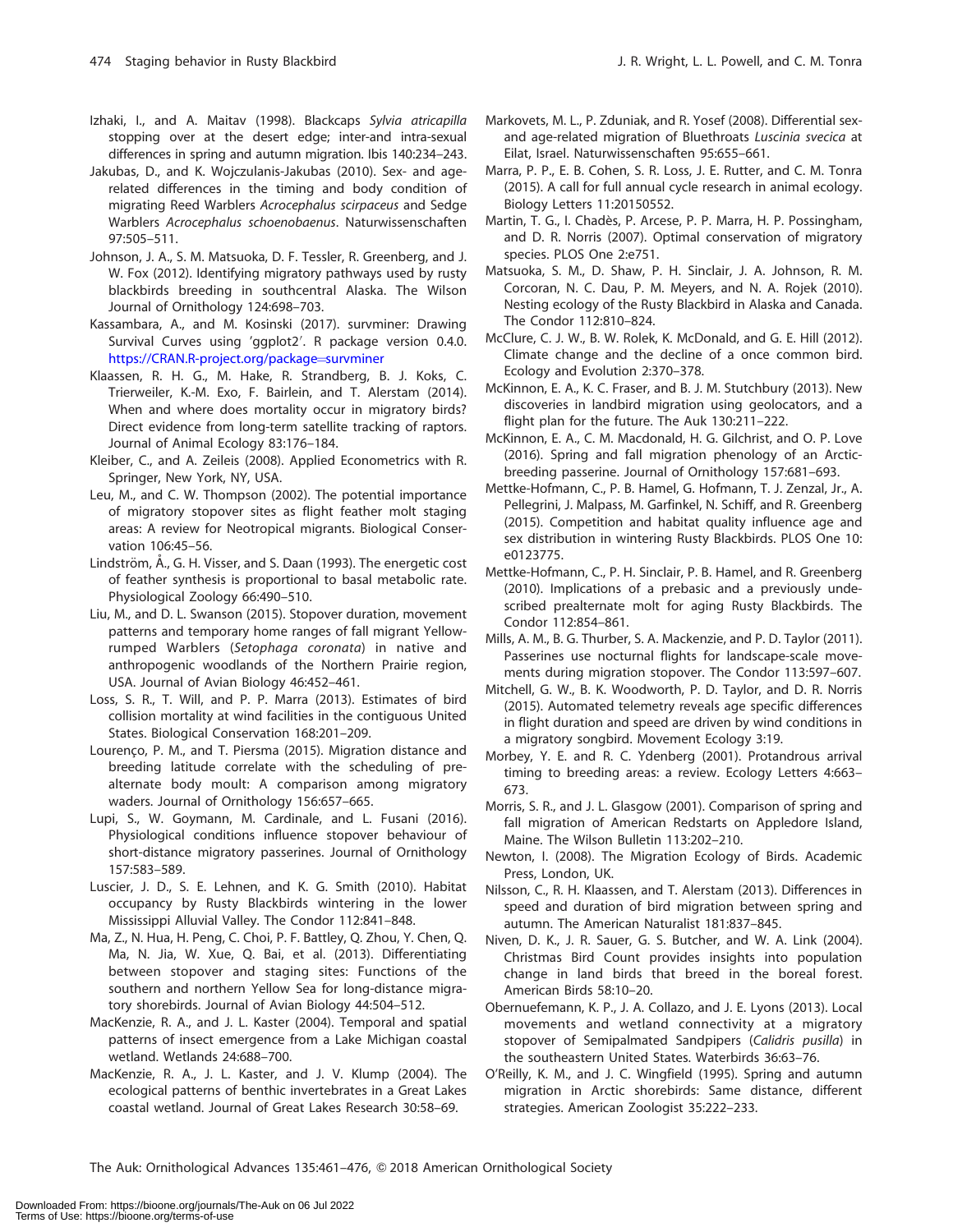- Izhaki, I., and A. Maitav (1998). Blackcaps Sylvia atricapilla stopping over at the desert edge; inter-and intra-sexual differences in spring and autumn migration. Ibis 140:234–243.
- Jakubas, D., and K. Wojczulanis-Jakubas (2010). Sex- and agerelated differences in the timing and body condition of migrating Reed Warblers Acrocephalus scirpaceus and Sedge Warblers Acrocephalus schoenobaenus. Naturwissenschaften 97:505–511.
- Johnson, J. A., S. M. Matsuoka, D. F. Tessler, R. Greenberg, and J. W. Fox (2012). Identifying migratory pathways used by rusty blackbirds breeding in southcentral Alaska. The Wilson Journal of Ornithology 124:698–703.
- Kassambara, A., and M. Kosinski (2017). survminer: Drawing Survival Curves using 'ggplot2'. R package version 0.4.0. [https://CRAN.R-project.org/package](https://CRAN.R-project.org/package=survminer)=[survminer](https://CRAN.R-project.org/package=survminer)
- Klaassen, R. H. G., M. Hake, R. Strandberg, B. J. Koks, C. Trierweiler, K.-M. Exo, F. Bairlein, and T. Alerstam (2014). When and where does mortality occur in migratory birds? Direct evidence from long-term satellite tracking of raptors. Journal of Animal Ecology 83:176–184.
- Kleiber, C., and A. Zeileis (2008). Applied Econometrics with R. Springer, New York, NY, USA.
- Leu, M., and C. W. Thompson (2002). The potential importance of migratory stopover sites as flight feather molt staging areas: A review for Neotropical migrants. Biological Conservation 106:45–56.
- Lindström, Å., G. H. Visser, and S. Daan (1993). The energetic cost of feather synthesis is proportional to basal metabolic rate. Physiological Zoology 66:490–510.
- Liu, M., and D. L. Swanson (2015). Stopover duration, movement patterns and temporary home ranges of fall migrant Yellowrumped Warblers (Setophaga coronata) in native and anthropogenic woodlands of the Northern Prairie region, USA. Journal of Avian Biology 46:452–461.
- Loss, S. R., T. Will, and P. P. Marra (2013). Estimates of bird collision mortality at wind facilities in the contiguous United States. Biological Conservation 168:201–209.
- Lourenço, P. M., and T. Piersma (2015). Migration distance and breeding latitude correlate with the scheduling of prealternate body moult: A comparison among migratory waders. Journal of Ornithology 156:657–665.
- Lupi, S., W. Goymann, M. Cardinale, and L. Fusani (2016). Physiological conditions influence stopover behaviour of short-distance migratory passerines. Journal of Ornithology 157:583–589.
- Luscier, J. D., S. E. Lehnen, and K. G. Smith (2010). Habitat occupancy by Rusty Blackbirds wintering in the lower Mississippi Alluvial Valley. The Condor 112:841–848.
- Ma, Z., N. Hua, H. Peng, C. Choi, P. F. Battley, Q. Zhou, Y. Chen, Q. Ma, N. Jia, W. Xue, Q. Bai, et al. (2013). Differentiating between stopover and staging sites: Functions of the southern and northern Yellow Sea for long-distance migratory shorebirds. Journal of Avian Biology 44:504–512.
- MacKenzie, R. A., and J. L. Kaster (2004). Temporal and spatial patterns of insect emergence from a Lake Michigan coastal wetland. Wetlands 24:688–700.
- MacKenzie, R. A., J. L. Kaster, and J. V. Klump (2004). The ecological patterns of benthic invertebrates in a Great Lakes coastal wetland. Journal of Great Lakes Research 30:58–69.
- Markovets, M. L., P. Zduniak, and R. Yosef (2008). Differential sexand age-related migration of Bluethroats Luscinia svecica at Eilat, Israel. Naturwissenschaften 95:655–661.
- Marra, P. P., E. B. Cohen, S. R. Loss, J. E. Rutter, and C. M. Tonra (2015). A call for full annual cycle research in animal ecology. Biology Letters 11:20150552.
- Martin, T. G., I. Chadès, P. Arcese, P. P. Marra, H. P. Possingham, and D. R. Norris (2007). Optimal conservation of migratory species. PLOS One 2:e751.
- Matsuoka, S. M., D. Shaw, P. H. Sinclair, J. A. Johnson, R. M. Corcoran, N. C. Dau, P. M. Meyers, and N. A. Rojek (2010). Nesting ecology of the Rusty Blackbird in Alaska and Canada. The Condor 112:810–824.
- McClure, C. J. W., B. W. Rolek, K. McDonald, and G. E. Hill (2012). Climate change and the decline of a once common bird. Ecology and Evolution 2:370–378.
- McKinnon, E. A., K. C. Fraser, and B. J. M. Stutchbury (2013). New discoveries in landbird migration using geolocators, and a flight plan for the future. The Auk 130:211–222.
- McKinnon, E. A., C. M. Macdonald, H. G. Gilchrist, and O. P. Love (2016). Spring and fall migration phenology of an Arcticbreeding passerine. Journal of Ornithology 157:681–693.
- Mettke-Hofmann, C., P. B. Hamel, G. Hofmann, T. J. Zenzal, Jr., A. Pellegrini, J. Malpass, M. Garfinkel, N. Schiff, and R. Greenberg (2015). Competition and habitat quality influence age and sex distribution in wintering Rusty Blackbirds. PLOS One 10: e0123775.
- Mettke-Hofmann, C., P. H. Sinclair, P. B. Hamel, and R. Greenberg (2010). Implications of a prebasic and a previously undescribed prealternate molt for aging Rusty Blackbirds. The Condor 112:854–861.
- Mills, A. M., B. G. Thurber, S. A. Mackenzie, and P. D. Taylor (2011). Passerines use nocturnal flights for landscape-scale movements during migration stopover. The Condor 113:597–607.
- Mitchell, G. W., B. K. Woodworth, P. D. Taylor, and D. R. Norris (2015). Automated telemetry reveals age specific differences in flight duration and speed are driven by wind conditions in a migratory songbird. Movement Ecology 3:19.
- Morbey, Y. E. and R. C. Ydenberg (2001). Protandrous arrival timing to breeding areas: a review. Ecology Letters 4:663– 673.
- Morris, S. R., and J. L. Glasgow (2001). Comparison of spring and fall migration of American Redstarts on Appledore Island, Maine. The Wilson Bulletin 113:202–210.
- Newton, I. (2008). The Migration Ecology of Birds. Academic Press, London, UK.
- Nilsson, C., R. H. Klaassen, and T. Alerstam (2013). Differences in speed and duration of bird migration between spring and autumn. The American Naturalist 181:837–845.
- Niven, D. K., J. R. Sauer, G. S. Butcher, and W. A. Link (2004). Christmas Bird Count provides insights into population change in land birds that breed in the boreal forest. American Birds 58:10–20.
- Obernuefemann, K. P., J. A. Collazo, and J. E. Lyons (2013). Local movements and wetland connectivity at a migratory stopover of Semipalmated Sandpipers (Calidris pusilla) in the southeastern United States. Waterbirds 36:63–76.
- O'Reilly, K. M., and J. C. Wingfield (1995). Spring and autumn migration in Arctic shorebirds: Same distance, different strategies. American Zoologist 35:222–233.

The Auk: Ornithological Advances 135:461-476, © 2018 American Ornithological Society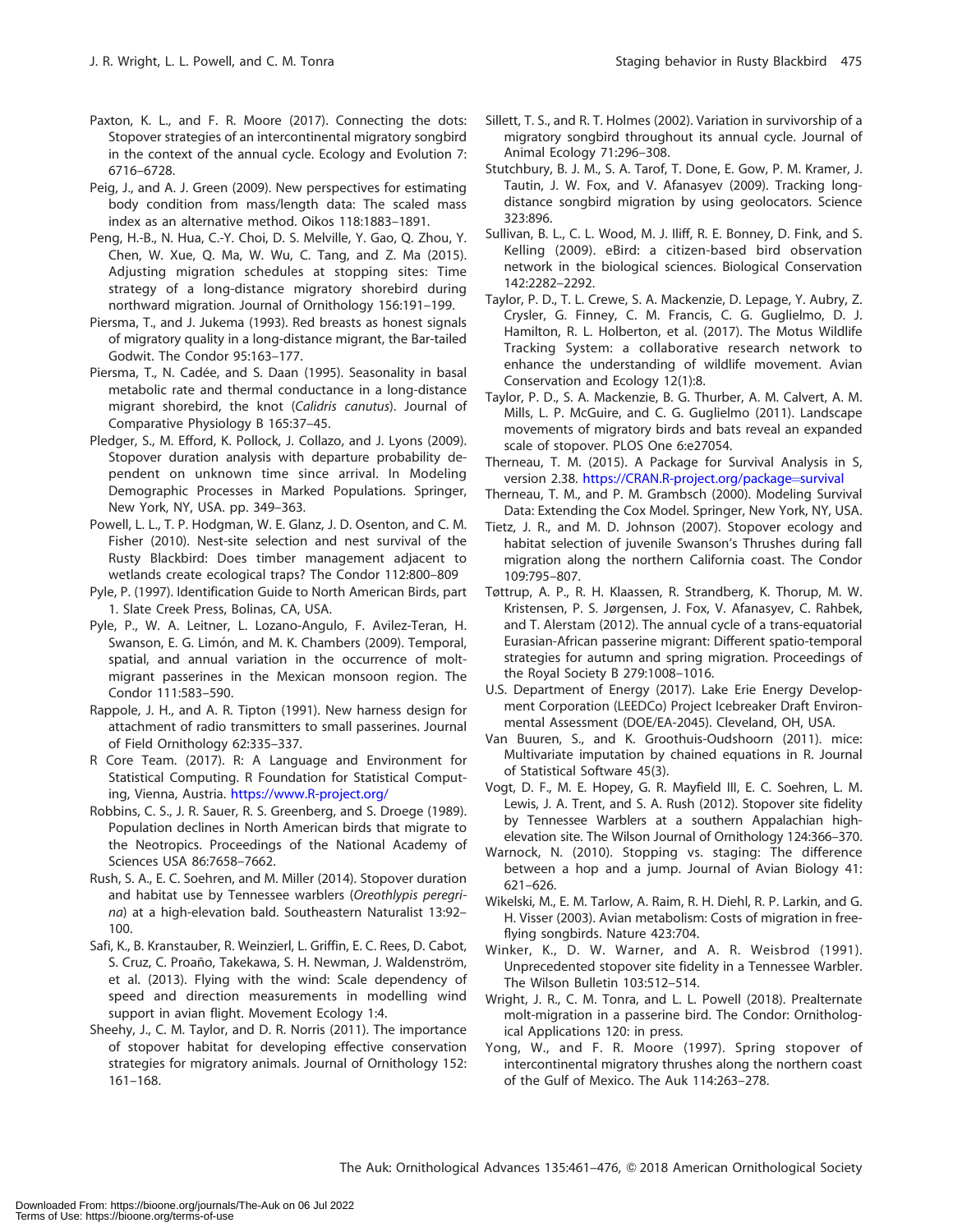- Paxton, K. L., and F. R. Moore (2017). Connecting the dots: Stopover strategies of an intercontinental migratory songbird in the context of the annual cycle. Ecology and Evolution 7: 6716–6728.
- Peig, J., and A. J. Green (2009). New perspectives for estimating body condition from mass/length data: The scaled mass index as an alternative method. Oikos 118:1883–1891.
- Peng, H.-B., N. Hua, C.-Y. Choi, D. S. Melville, Y. Gao, Q. Zhou, Y. Chen, W. Xue, Q. Ma, W. Wu, C. Tang, and Z. Ma (2015). Adjusting migration schedules at stopping sites: Time strategy of a long-distance migratory shorebird during northward migration. Journal of Ornithology 156:191–199.
- Piersma, T., and J. Jukema (1993). Red breasts as honest signals of migratory quality in a long-distance migrant, the Bar-tailed Godwit. The Condor 95:163–177.
- Piersma, T., N. Cadée, and S. Daan (1995). Seasonality in basal metabolic rate and thermal conductance in a long-distance migrant shorebird, the knot (Calidris canutus). Journal of Comparative Physiology B 165:37–45.
- Pledger, S., M. Efford, K. Pollock, J. Collazo, and J. Lyons (2009). Stopover duration analysis with departure probability dependent on unknown time since arrival. In Modeling Demographic Processes in Marked Populations. Springer, New York, NY, USA. pp. 349–363.
- Powell, L. L., T. P. Hodgman, W. E. Glanz, J. D. Osenton, and C. M. Fisher (2010). Nest-site selection and nest survival of the Rusty Blackbird: Does timber management adjacent to wetlands create ecological traps? The Condor 112:800–809
- Pyle, P. (1997). Identification Guide to North American Birds, part 1. Slate Creek Press, Bolinas, CA, USA.
- Pyle, P., W. A. Leitner, L. Lozano-Angulo, F. Avilez-Teran, H. Swanson, E. G. Limón, and M. K. Chambers (2009). Temporal, spatial, and annual variation in the occurrence of moltmigrant passerines in the Mexican monsoon region. The Condor 111:583–590.
- Rappole, J. H., and A. R. Tipton (1991). New harness design for attachment of radio transmitters to small passerines. Journal of Field Ornithology 62:335–337.
- R Core Team. (2017). R: A Language and Environment for Statistical Computing. R Foundation for Statistical Computing, Vienna, Austria. <https://www.R-project.org/>
- Robbins, C. S., J. R. Sauer, R. S. Greenberg, and S. Droege (1989). Population declines in North American birds that migrate to the Neotropics. Proceedings of the National Academy of Sciences USA 86:7658–7662.
- Rush, S. A., E. C. Soehren, and M. Miller (2014). Stopover duration and habitat use by Tennessee warblers (Oreothlypis peregrina) at a high-elevation bald. Southeastern Naturalist 13:92– 100.
- Safi, K., B. Kranstauber, R. Weinzierl, L. Griffin, E. C. Rees, D. Cabot, S. Cruz, C. Proaño, Takekawa, S. H. Newman, J. Waldenström, et al. (2013). Flying with the wind: Scale dependency of speed and direction measurements in modelling wind support in avian flight. Movement Ecology 1:4.
- Sheehy, J., C. M. Taylor, and D. R. Norris (2011). The importance of stopover habitat for developing effective conservation strategies for migratory animals. Journal of Ornithology 152: 161–168.
- Sillett, T. S., and R. T. Holmes (2002). Variation in survivorship of a migratory songbird throughout its annual cycle. Journal of Animal Ecology 71:296–308.
- Stutchbury, B. J. M., S. A. Tarof, T. Done, E. Gow, P. M. Kramer, J. Tautin, J. W. Fox, and V. Afanasyev (2009). Tracking longdistance songbird migration by using geolocators. Science 323:896.
- Sullivan, B. L., C. L. Wood, M. J. Iliff, R. E. Bonney, D. Fink, and S. Kelling (2009). eBird: a citizen-based bird observation network in the biological sciences. Biological Conservation 142:2282–2292.
- Taylor, P. D., T. L. Crewe, S. A. Mackenzie, D. Lepage, Y. Aubry, Z. Crysler, G. Finney, C. M. Francis, C. G. Guglielmo, D. J. Hamilton, R. L. Holberton, et al. (2017). The Motus Wildlife Tracking System: a collaborative research network to enhance the understanding of wildlife movement. Avian Conservation and Ecology 12(1):8.
- Taylor, P. D., S. A. Mackenzie, B. G. Thurber, A. M. Calvert, A. M. Mills, L. P. McGuire, and C. G. Guglielmo (2011). Landscape movements of migratory birds and bats reveal an expanded scale of stopover. PLOS One 6:e27054.
- Therneau, T. M. (2015). A Package for Survival Analysis in S, version 2.38. [https://CRAN.R-project.org/package](https://CRAN.R-project.org/package=survival)=[survival](https://CRAN.R-project.org/package=survival)
- Therneau, T. M., and P. M. Grambsch (2000). Modeling Survival Data: Extending the Cox Model. Springer, New York, NY, USA.
- Tietz, J. R., and M. D. Johnson (2007). Stopover ecology and habitat selection of juvenile Swanson's Thrushes during fall migration along the northern California coast. The Condor 109:795–807.
- Tøttrup, A. P., R. H. Klaassen, R. Strandberg, K. Thorup, M. W. Kristensen, P. S. Jørgensen, J. Fox, V. Afanasyev, C. Rahbek, and T. Alerstam (2012). The annual cycle of a trans-equatorial Eurasian-African passerine migrant: Different spatio-temporal strategies for autumn and spring migration. Proceedings of the Royal Society B 279:1008–1016.
- U.S. Department of Energy (2017). Lake Erie Energy Development Corporation (LEEDCo) Project Icebreaker Draft Environmental Assessment (DOE/EA-2045). Cleveland, OH, USA.
- Van Buuren, S., and K. Groothuis-Oudshoorn (2011). mice: Multivariate imputation by chained equations in R. Journal of Statistical Software 45(3).
- Vogt, D. F., M. E. Hopey, G. R. Mayfield III, E. C. Soehren, L. M. Lewis, J. A. Trent, and S. A. Rush (2012). Stopover site fidelity by Tennessee Warblers at a southern Appalachian highelevation site. The Wilson Journal of Ornithology 124:366–370.
- Warnock, N. (2010). Stopping vs. staging: The difference between a hop and a jump. Journal of Avian Biology 41: 621–626.
- Wikelski, M., E. M. Tarlow, A. Raim, R. H. Diehl, R. P. Larkin, and G. H. Visser (2003). Avian metabolism: Costs of migration in freeflying songbirds. Nature 423:704.
- Winker, K., D. W. Warner, and A. R. Weisbrod (1991). Unprecedented stopover site fidelity in a Tennessee Warbler. The Wilson Bulletin 103:512–514.
- Wright, J. R., C. M. Tonra, and L. L. Powell (2018). Prealternate molt-migration in a passerine bird. The Condor: Ornithological Applications 120: in press.
- Yong, W., and F. R. Moore (1997). Spring stopover of intercontinental migratory thrushes along the northern coast of the Gulf of Mexico. The Auk 114:263–278.